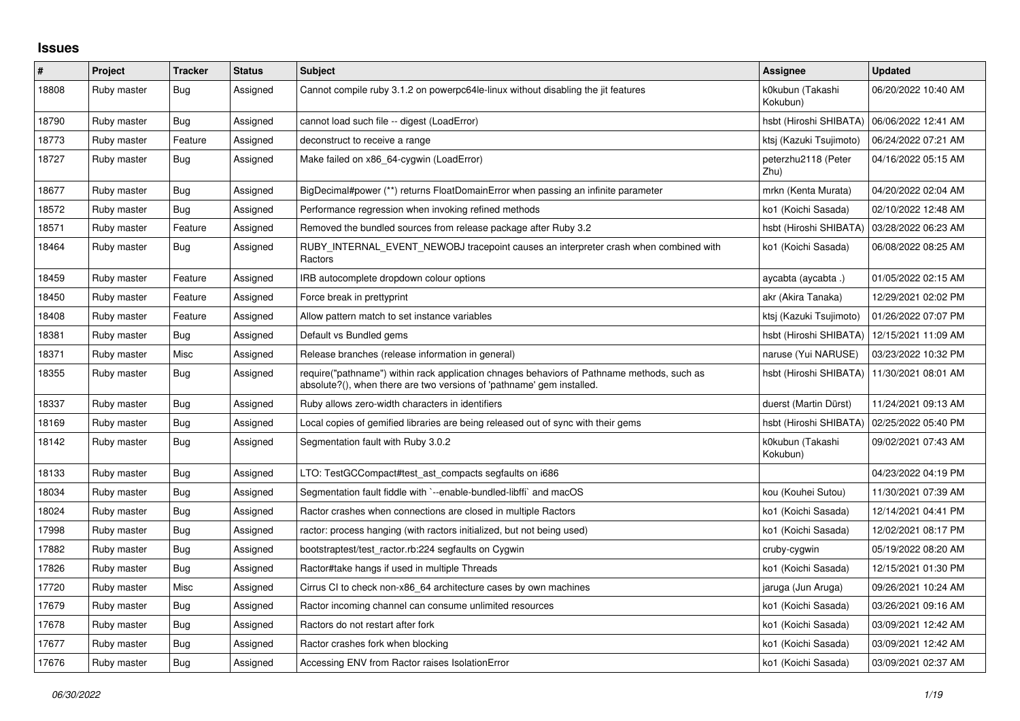## **Issues**

| $\pmb{\#}$ | Project     | <b>Tracker</b> | <b>Status</b> | <b>Subject</b>                                                                                                                                                      | Assignee                     | <b>Updated</b>      |
|------------|-------------|----------------|---------------|---------------------------------------------------------------------------------------------------------------------------------------------------------------------|------------------------------|---------------------|
| 18808      | Ruby master | <b>Bug</b>     | Assigned      | Cannot compile ruby 3.1.2 on powerpc64le-linux without disabling the jit features                                                                                   | k0kubun (Takashi<br>Kokubun) | 06/20/2022 10:40 AM |
| 18790      | Ruby master | Bug            | Assigned      | cannot load such file -- digest (LoadError)                                                                                                                         | hsbt (Hiroshi SHIBATA)       | 06/06/2022 12:41 AM |
| 18773      | Ruby master | Feature        | Assigned      | deconstruct to receive a range                                                                                                                                      | ktsj (Kazuki Tsujimoto)      | 06/24/2022 07:21 AM |
| 18727      | Ruby master | Bug            | Assigned      | Make failed on x86_64-cygwin (LoadError)                                                                                                                            | peterzhu2118 (Peter<br>Zhu)  | 04/16/2022 05:15 AM |
| 18677      | Ruby master | Bug            | Assigned      | BigDecimal#power (**) returns FloatDomainError when passing an infinite parameter                                                                                   | mrkn (Kenta Murata)          | 04/20/2022 02:04 AM |
| 18572      | Ruby master | Bug            | Assigned      | Performance regression when invoking refined methods                                                                                                                | ko1 (Koichi Sasada)          | 02/10/2022 12:48 AM |
| 18571      | Ruby master | Feature        | Assigned      | Removed the bundled sources from release package after Ruby 3.2                                                                                                     | hsbt (Hiroshi SHIBATA)       | 03/28/2022 06:23 AM |
| 18464      | Ruby master | <b>Bug</b>     | Assigned      | RUBY INTERNAL EVENT NEWOBJ tracepoint causes an interpreter crash when combined with<br>Ractors                                                                     | ko1 (Koichi Sasada)          | 06/08/2022 08:25 AM |
| 18459      | Ruby master | Feature        | Assigned      | IRB autocomplete dropdown colour options                                                                                                                            | aycabta (aycabta .)          | 01/05/2022 02:15 AM |
| 18450      | Ruby master | Feature        | Assigned      | Force break in prettyprint                                                                                                                                          | akr (Akira Tanaka)           | 12/29/2021 02:02 PM |
| 18408      | Ruby master | Feature        | Assigned      | Allow pattern match to set instance variables                                                                                                                       | ktsj (Kazuki Tsujimoto)      | 01/26/2022 07:07 PM |
| 18381      | Ruby master | Bug            | Assigned      | Default vs Bundled gems                                                                                                                                             | hsbt (Hiroshi SHIBATA)       | 12/15/2021 11:09 AM |
| 18371      | Ruby master | Misc           | Assigned      | Release branches (release information in general)                                                                                                                   | naruse (Yui NARUSE)          | 03/23/2022 10:32 PM |
| 18355      | Ruby master | Bug            | Assigned      | require("pathname") within rack application chnages behaviors of Pathname methods, such as<br>absolute?(), when there are two versions of 'pathname' gem installed. | hsbt (Hiroshi SHIBATA)       | 11/30/2021 08:01 AM |
| 18337      | Ruby master | Bug            | Assigned      | Ruby allows zero-width characters in identifiers                                                                                                                    | duerst (Martin Dürst)        | 11/24/2021 09:13 AM |
| 18169      | Ruby master | Bug            | Assigned      | Local copies of gemified libraries are being released out of sync with their gems                                                                                   | hsbt (Hiroshi SHIBATA)       | 02/25/2022 05:40 PM |
| 18142      | Ruby master | Bug            | Assigned      | Segmentation fault with Ruby 3.0.2                                                                                                                                  | k0kubun (Takashi<br>Kokubun) | 09/02/2021 07:43 AM |
| 18133      | Ruby master | <b>Bug</b>     | Assigned      | LTO: TestGCCompact#test_ast_compacts segfaults on i686                                                                                                              |                              | 04/23/2022 04:19 PM |
| 18034      | Ruby master | Bug            | Assigned      | Segmentation fault fiddle with `--enable-bundled-libffi` and macOS                                                                                                  | kou (Kouhei Sutou)           | 11/30/2021 07:39 AM |
| 18024      | Ruby master | Bug            | Assigned      | Ractor crashes when connections are closed in multiple Ractors                                                                                                      | ko1 (Koichi Sasada)          | 12/14/2021 04:41 PM |
| 17998      | Ruby master | Bug            | Assigned      | ractor: process hanging (with ractors initialized, but not being used)                                                                                              | ko1 (Koichi Sasada)          | 12/02/2021 08:17 PM |
| 17882      | Ruby master | Bug            | Assigned      | bootstraptest/test_ractor.rb:224 segfaults on Cygwin                                                                                                                | cruby-cygwin                 | 05/19/2022 08:20 AM |
| 17826      | Ruby master | Bug            | Assigned      | Ractor#take hangs if used in multiple Threads                                                                                                                       | ko1 (Koichi Sasada)          | 12/15/2021 01:30 PM |
| 17720      | Ruby master | Misc           | Assigned      | Cirrus CI to check non-x86_64 architecture cases by own machines                                                                                                    | jaruga (Jun Aruga)           | 09/26/2021 10:24 AM |
| 17679      | Ruby master | Bug            | Assigned      | Ractor incoming channel can consume unlimited resources                                                                                                             | ko1 (Koichi Sasada)          | 03/26/2021 09:16 AM |
| 17678      | Ruby master | <b>Bug</b>     | Assigned      | Ractors do not restart after fork                                                                                                                                   | ko1 (Koichi Sasada)          | 03/09/2021 12:42 AM |
| 17677      | Ruby master | Bug            | Assigned      | Ractor crashes fork when blocking                                                                                                                                   | ko1 (Koichi Sasada)          | 03/09/2021 12:42 AM |
| 17676      | Ruby master | Bug            | Assigned      | Accessing ENV from Ractor raises IsolationError                                                                                                                     | ko1 (Koichi Sasada)          | 03/09/2021 02:37 AM |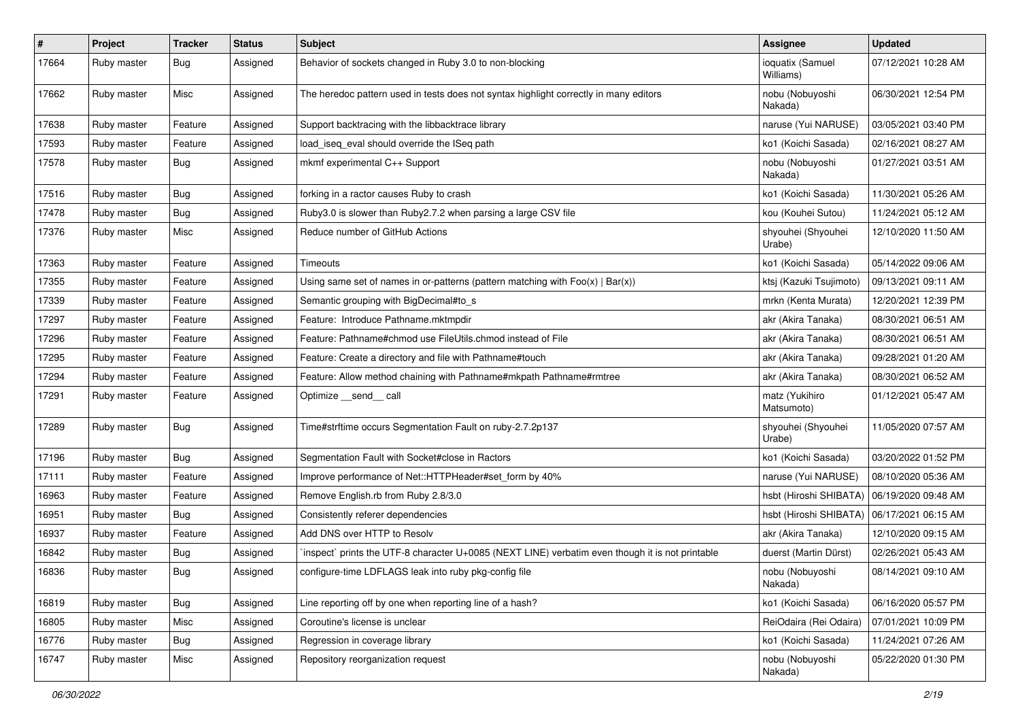| $\vert$ # | Project     | <b>Tracker</b> | <b>Status</b> | <b>Subject</b>                                                                                  | Assignee                      | <b>Updated</b>      |
|-----------|-------------|----------------|---------------|-------------------------------------------------------------------------------------------------|-------------------------------|---------------------|
| 17664     | Ruby master | Bug            | Assigned      | Behavior of sockets changed in Ruby 3.0 to non-blocking                                         | ioquatix (Samuel<br>Williams) | 07/12/2021 10:28 AM |
| 17662     | Ruby master | Misc           | Assigned      | The heredoc pattern used in tests does not syntax highlight correctly in many editors           | nobu (Nobuyoshi<br>Nakada)    | 06/30/2021 12:54 PM |
| 17638     | Ruby master | Feature        | Assigned      | Support backtracing with the libbacktrace library                                               | naruse (Yui NARUSE)           | 03/05/2021 03:40 PM |
| 17593     | Ruby master | Feature        | Assigned      | load iseg eval should override the ISeg path                                                    | ko1 (Koichi Sasada)           | 02/16/2021 08:27 AM |
| 17578     | Ruby master | Bug            | Assigned      | mkmf experimental C++ Support                                                                   | nobu (Nobuyoshi<br>Nakada)    | 01/27/2021 03:51 AM |
| 17516     | Ruby master | Bug            | Assigned      | forking in a ractor causes Ruby to crash                                                        | ko1 (Koichi Sasada)           | 11/30/2021 05:26 AM |
| 17478     | Ruby master | <b>Bug</b>     | Assigned      | Ruby3.0 is slower than Ruby2.7.2 when parsing a large CSV file                                  | kou (Kouhei Sutou)            | 11/24/2021 05:12 AM |
| 17376     | Ruby master | Misc           | Assigned      | Reduce number of GitHub Actions                                                                 | shyouhei (Shyouhei<br>Urabe)  | 12/10/2020 11:50 AM |
| 17363     | Ruby master | Feature        | Assigned      | Timeouts                                                                                        | ko1 (Koichi Sasada)           | 05/14/2022 09:06 AM |
| 17355     | Ruby master | Feature        | Assigned      | Using same set of names in or-patterns (pattern matching with $Foo(x)   Bar(x)$ )               | ktsj (Kazuki Tsujimoto)       | 09/13/2021 09:11 AM |
| 17339     | Ruby master | Feature        | Assigned      | Semantic grouping with BigDecimal#to_s                                                          | mrkn (Kenta Murata)           | 12/20/2021 12:39 PM |
| 17297     | Ruby master | Feature        | Assigned      | Feature: Introduce Pathname.mktmpdir                                                            | akr (Akira Tanaka)            | 08/30/2021 06:51 AM |
| 17296     | Ruby master | Feature        | Assigned      | Feature: Pathname#chmod use FileUtils.chmod instead of File                                     | akr (Akira Tanaka)            | 08/30/2021 06:51 AM |
| 17295     | Ruby master | Feature        | Assigned      | Feature: Create a directory and file with Pathname#touch                                        | akr (Akira Tanaka)            | 09/28/2021 01:20 AM |
| 17294     | Ruby master | Feature        | Assigned      | Feature: Allow method chaining with Pathname#mkpath Pathname#rmtree                             | akr (Akira Tanaka)            | 08/30/2021 06:52 AM |
| 17291     | Ruby master | Feature        | Assigned      | Optimize __send__ call                                                                          | matz (Yukihiro<br>Matsumoto)  | 01/12/2021 05:47 AM |
| 17289     | Ruby master | Bug            | Assigned      | Time#strftime occurs Segmentation Fault on ruby-2.7.2p137                                       | shyouhei (Shyouhei<br>Urabe)  | 11/05/2020 07:57 AM |
| 17196     | Ruby master | Bug            | Assigned      | Segmentation Fault with Socket#close in Ractors                                                 | ko1 (Koichi Sasada)           | 03/20/2022 01:52 PM |
| 17111     | Ruby master | Feature        | Assigned      | Improve performance of Net::HTTPHeader#set_form by 40%                                          | naruse (Yui NARUSE)           | 08/10/2020 05:36 AM |
| 16963     | Ruby master | Feature        | Assigned      | Remove English.rb from Ruby 2.8/3.0                                                             | hsbt (Hiroshi SHIBATA)        | 06/19/2020 09:48 AM |
| 16951     | Ruby master | Bug            | Assigned      | Consistently referer dependencies                                                               | hsbt (Hiroshi SHIBATA)        | 06/17/2021 06:15 AM |
| 16937     | Ruby master | Feature        | Assigned      | Add DNS over HTTP to Resolv                                                                     | akr (Akira Tanaka)            | 12/10/2020 09:15 AM |
| 16842     | Ruby master | Bug            | Assigned      | inspect` prints the UTF-8 character U+0085 (NEXT LINE) verbatim even though it is not printable | duerst (Martin Dürst)         | 02/26/2021 05:43 AM |
| 16836     | Ruby master | <b>Bug</b>     | Assigned      | configure-time LDFLAGS leak into ruby pkg-config file                                           | nobu (Nobuyoshi<br>Nakada)    | 08/14/2021 09:10 AM |
| 16819     | Ruby master | <b>Bug</b>     | Assigned      | Line reporting off by one when reporting line of a hash?                                        | ko1 (Koichi Sasada)           | 06/16/2020 05:57 PM |
| 16805     | Ruby master | Misc           | Assigned      | Coroutine's license is unclear                                                                  | ReiOdaira (Rei Odaira)        | 07/01/2021 10:09 PM |
| 16776     | Ruby master | <b>Bug</b>     | Assigned      | Regression in coverage library                                                                  | ko1 (Koichi Sasada)           | 11/24/2021 07:26 AM |
| 16747     | Ruby master | Misc           | Assigned      | Repository reorganization request                                                               | nobu (Nobuyoshi<br>Nakada)    | 05/22/2020 01:30 PM |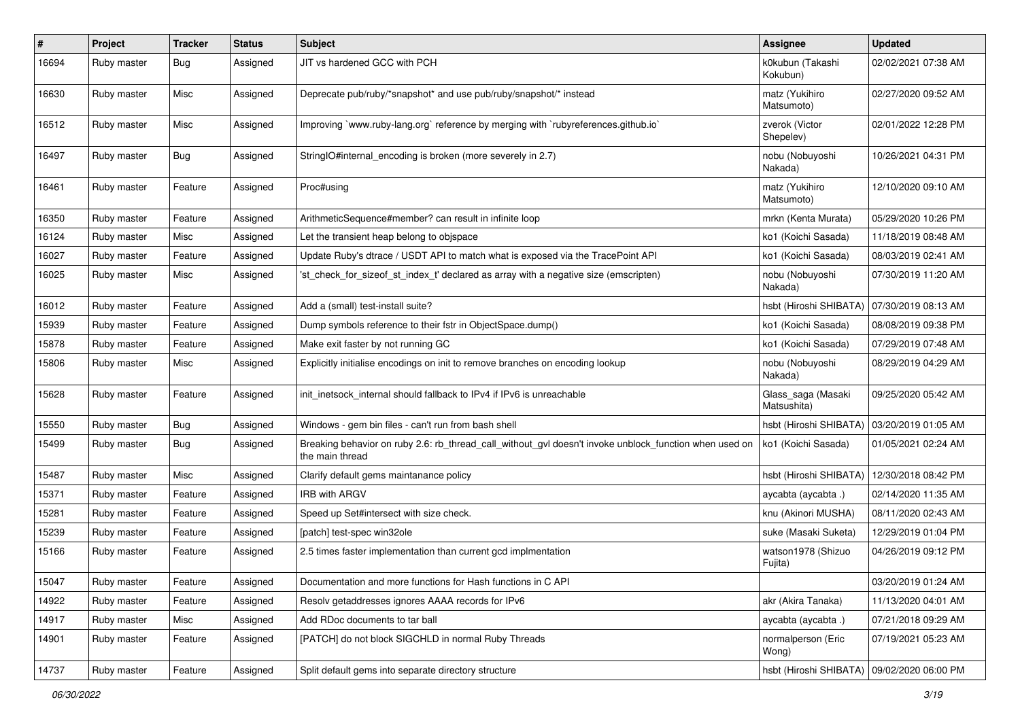| $\pmb{\#}$ | Project     | <b>Tracker</b> | <b>Status</b> | <b>Subject</b>                                                                                                            | <b>Assignee</b>                   | <b>Updated</b>      |
|------------|-------------|----------------|---------------|---------------------------------------------------------------------------------------------------------------------------|-----------------------------------|---------------------|
| 16694      | Ruby master | Bug            | Assigned      | JIT vs hardened GCC with PCH                                                                                              | k0kubun (Takashi<br>Kokubun)      | 02/02/2021 07:38 AM |
| 16630      | Ruby master | Misc           | Assigned      | Deprecate pub/ruby/*snapshot* and use pub/ruby/snapshot/* instead                                                         | matz (Yukihiro<br>Matsumoto)      | 02/27/2020 09:52 AM |
| 16512      | Ruby master | Misc           | Assigned      | Improving `www.ruby-lang.org` reference by merging with `rubyreferences.github.io`                                        | zverok (Victor<br>Shepelev)       | 02/01/2022 12:28 PM |
| 16497      | Ruby master | Bug            | Assigned      | StringIO#internal_encoding is broken (more severely in 2.7)                                                               | nobu (Nobuyoshi<br>Nakada)        | 10/26/2021 04:31 PM |
| 16461      | Ruby master | Feature        | Assigned      | Proc#using                                                                                                                | matz (Yukihiro<br>Matsumoto)      | 12/10/2020 09:10 AM |
| 16350      | Ruby master | Feature        | Assigned      | ArithmeticSequence#member? can result in infinite loop                                                                    | mrkn (Kenta Murata)               | 05/29/2020 10:26 PM |
| 16124      | Ruby master | Misc           | Assigned      | Let the transient heap belong to objspace                                                                                 | ko1 (Koichi Sasada)               | 11/18/2019 08:48 AM |
| 16027      | Ruby master | Feature        | Assigned      | Update Ruby's dtrace / USDT API to match what is exposed via the TracePoint API                                           | ko1 (Koichi Sasada)               | 08/03/2019 02:41 AM |
| 16025      | Ruby master | Misc           | Assigned      | 'st_check_for_sizeof_st_index_t' declared as array with a negative size (emscripten)                                      | nobu (Nobuyoshi<br>Nakada)        | 07/30/2019 11:20 AM |
| 16012      | Ruby master | Feature        | Assigned      | Add a (small) test-install suite?                                                                                         | hsbt (Hiroshi SHIBATA)            | 07/30/2019 08:13 AM |
| 15939      | Ruby master | Feature        | Assigned      | Dump symbols reference to their fstr in ObjectSpace.dump()                                                                | ko1 (Koichi Sasada)               | 08/08/2019 09:38 PM |
| 15878      | Ruby master | Feature        | Assigned      | Make exit faster by not running GC                                                                                        | ko1 (Koichi Sasada)               | 07/29/2019 07:48 AM |
| 15806      | Ruby master | Misc           | Assigned      | Explicitly initialise encodings on init to remove branches on encoding lookup                                             | nobu (Nobuyoshi<br>Nakada)        | 08/29/2019 04:29 AM |
| 15628      | Ruby master | Feature        | Assigned      | init_inetsock_internal should fallback to IPv4 if IPv6 is unreachable                                                     | Glass_saga (Masaki<br>Matsushita) | 09/25/2020 05:42 AM |
| 15550      | Ruby master | Bug            | Assigned      | Windows - gem bin files - can't run from bash shell                                                                       | hsbt (Hiroshi SHIBATA)            | 03/20/2019 01:05 AM |
| 15499      | Ruby master | <b>Bug</b>     | Assigned      | Breaking behavior on ruby 2.6: rb_thread_call_without_gvl doesn't invoke unblock_function when used on<br>the main thread | ko1 (Koichi Sasada)               | 01/05/2021 02:24 AM |
| 15487      | Ruby master | Misc           | Assigned      | Clarify default gems maintanance policy                                                                                   | hsbt (Hiroshi SHIBATA)            | 12/30/2018 08:42 PM |
| 15371      | Ruby master | Feature        | Assigned      | <b>IRB with ARGV</b>                                                                                                      | aycabta (aycabta.)                | 02/14/2020 11:35 AM |
| 15281      | Ruby master | Feature        | Assigned      | Speed up Set#intersect with size check.                                                                                   | knu (Akinori MUSHA)               | 08/11/2020 02:43 AM |
| 15239      | Ruby master | Feature        | Assigned      | [patch] test-spec win32ole                                                                                                | suke (Masaki Suketa)              | 12/29/2019 01:04 PM |
| 15166      | Ruby master | Feature        | Assigned      | 2.5 times faster implementation than current gcd implmentation                                                            | watson1978 (Shizuo<br>Fujita)     | 04/26/2019 09:12 PM |
| 15047      | Ruby master | Feature        | Assigned      | Documentation and more functions for Hash functions in C API                                                              |                                   | 03/20/2019 01:24 AM |
| 14922      | Ruby master | Feature        | Assigned      | Resolv getaddresses ignores AAAA records for IPv6                                                                         | akr (Akira Tanaka)                | 11/13/2020 04:01 AM |
| 14917      | Ruby master | Misc           | Assigned      | Add RDoc documents to tar ball                                                                                            | aycabta (aycabta.)                | 07/21/2018 09:29 AM |
| 14901      | Ruby master | Feature        | Assigned      | [PATCH] do not block SIGCHLD in normal Ruby Threads                                                                       | normalperson (Eric<br>Wong)       | 07/19/2021 05:23 AM |
| 14737      | Ruby master | Feature        | Assigned      | Split default gems into separate directory structure                                                                      | hsbt (Hiroshi SHIBATA)            | 09/02/2020 06:00 PM |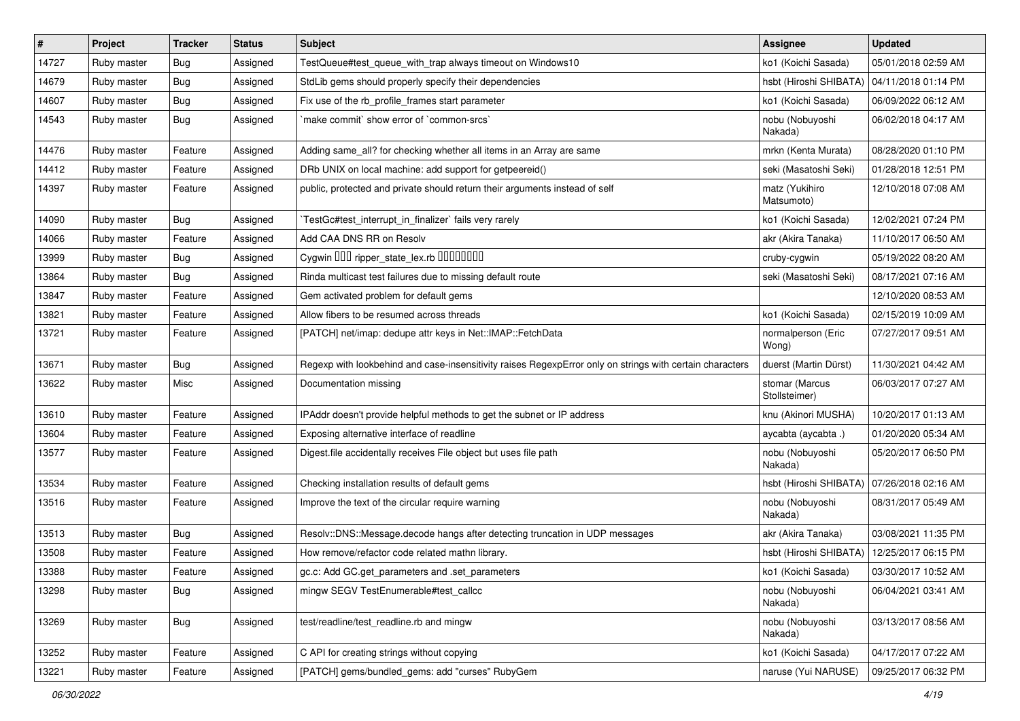| #     | Project     | <b>Tracker</b> | <b>Status</b> | <b>Subject</b>                                                                                           | Assignee                        | <b>Updated</b>      |
|-------|-------------|----------------|---------------|----------------------------------------------------------------------------------------------------------|---------------------------------|---------------------|
| 14727 | Ruby master | Bug            | Assigned      | TestQueue#test_queue_with_trap always timeout on Windows10                                               | ko1 (Koichi Sasada)             | 05/01/2018 02:59 AM |
| 14679 | Ruby master | Bug            | Assigned      | StdLib gems should properly specify their dependencies                                                   | hsbt (Hiroshi SHIBATA)          | 04/11/2018 01:14 PM |
| 14607 | Ruby master | <b>Bug</b>     | Assigned      | Fix use of the rb_profile_frames start parameter                                                         | ko1 (Koichi Sasada)             | 06/09/2022 06:12 AM |
| 14543 | Ruby master | Bug            | Assigned      | make commit' show error of 'common-srcs'                                                                 | nobu (Nobuyoshi<br>Nakada)      | 06/02/2018 04:17 AM |
| 14476 | Ruby master | Feature        | Assigned      | Adding same_all? for checking whether all items in an Array are same                                     | mrkn (Kenta Murata)             | 08/28/2020 01:10 PM |
| 14412 | Ruby master | Feature        | Assigned      | DRb UNIX on local machine: add support for getpeereid()                                                  | seki (Masatoshi Seki)           | 01/28/2018 12:51 PM |
| 14397 | Ruby master | Feature        | Assigned      | public, protected and private should return their arguments instead of self                              | matz (Yukihiro<br>Matsumoto)    | 12/10/2018 07:08 AM |
| 14090 | Ruby master | <b>Bug</b>     | Assigned      | TestGc#test_interrupt_in_finalizer` fails very rarely                                                    | ko1 (Koichi Sasada)             | 12/02/2021 07:24 PM |
| 14066 | Ruby master | Feature        | Assigned      | Add CAA DNS RR on Resolv                                                                                 | akr (Akira Tanaka)              | 11/10/2017 06:50 AM |
| 13999 | Ruby master | <b>Bug</b>     | Assigned      | Cygwin DDD ripper_state_lex.rb DDDDDDD                                                                   | cruby-cygwin                    | 05/19/2022 08:20 AM |
| 13864 | Ruby master | Bug            | Assigned      | Rinda multicast test failures due to missing default route                                               | seki (Masatoshi Seki)           | 08/17/2021 07:16 AM |
| 13847 | Ruby master | Feature        | Assigned      | Gem activated problem for default gems                                                                   |                                 | 12/10/2020 08:53 AM |
| 13821 | Ruby master | Feature        | Assigned      | Allow fibers to be resumed across threads                                                                | ko1 (Koichi Sasada)             | 02/15/2019 10:09 AM |
| 13721 | Ruby master | Feature        | Assigned      | [PATCH] net/imap: dedupe attr keys in Net::IMAP::FetchData                                               | normalperson (Eric<br>Wong)     | 07/27/2017 09:51 AM |
| 13671 | Ruby master | Bug            | Assigned      | Regexp with lookbehind and case-insensitivity raises RegexpError only on strings with certain characters | duerst (Martin Dürst)           | 11/30/2021 04:42 AM |
| 13622 | Ruby master | Misc           | Assigned      | Documentation missing                                                                                    | stomar (Marcus<br>Stollsteimer) | 06/03/2017 07:27 AM |
| 13610 | Ruby master | Feature        | Assigned      | IPAddr doesn't provide helpful methods to get the subnet or IP address                                   | knu (Akinori MUSHA)             | 10/20/2017 01:13 AM |
| 13604 | Ruby master | Feature        | Assigned      | Exposing alternative interface of readline                                                               | aycabta (aycabta .)             | 01/20/2020 05:34 AM |
| 13577 | Ruby master | Feature        | Assigned      | Digest file accidentally receives File object but uses file path                                         | nobu (Nobuyoshi<br>Nakada)      | 05/20/2017 06:50 PM |
| 13534 | Ruby master | Feature        | Assigned      | Checking installation results of default gems                                                            | hsbt (Hiroshi SHIBATA)          | 07/26/2018 02:16 AM |
| 13516 | Ruby master | Feature        | Assigned      | Improve the text of the circular require warning                                                         | nobu (Nobuyoshi<br>Nakada)      | 08/31/2017 05:49 AM |
| 13513 | Ruby master | <b>Bug</b>     | Assigned      | Resolv::DNS::Message.decode hangs after detecting truncation in UDP messages                             | akr (Akira Tanaka)              | 03/08/2021 11:35 PM |
| 13508 | Ruby master | Feature        | Assigned      | How remove/refactor code related mathn library.                                                          | hsbt (Hiroshi SHIBATA)          | 12/25/2017 06:15 PM |
| 13388 | Ruby master | Feature        | Assigned      | gc.c: Add GC.get_parameters and .set_parameters                                                          | ko1 (Koichi Sasada)             | 03/30/2017 10:52 AM |
| 13298 | Ruby master | <b>Bug</b>     | Assigned      | mingw SEGV TestEnumerable#test_callcc                                                                    | nobu (Nobuyoshi<br>Nakada)      | 06/04/2021 03:41 AM |
| 13269 | Ruby master | Bug            | Assigned      | test/readline/test readline.rb and mingw                                                                 | nobu (Nobuyoshi<br>Nakada)      | 03/13/2017 08:56 AM |
| 13252 | Ruby master | Feature        | Assigned      | C API for creating strings without copying                                                               | ko1 (Koichi Sasada)             | 04/17/2017 07:22 AM |
| 13221 | Ruby master | Feature        | Assigned      | [PATCH] gems/bundled_gems: add "curses" RubyGem                                                          | naruse (Yui NARUSE)             | 09/25/2017 06:32 PM |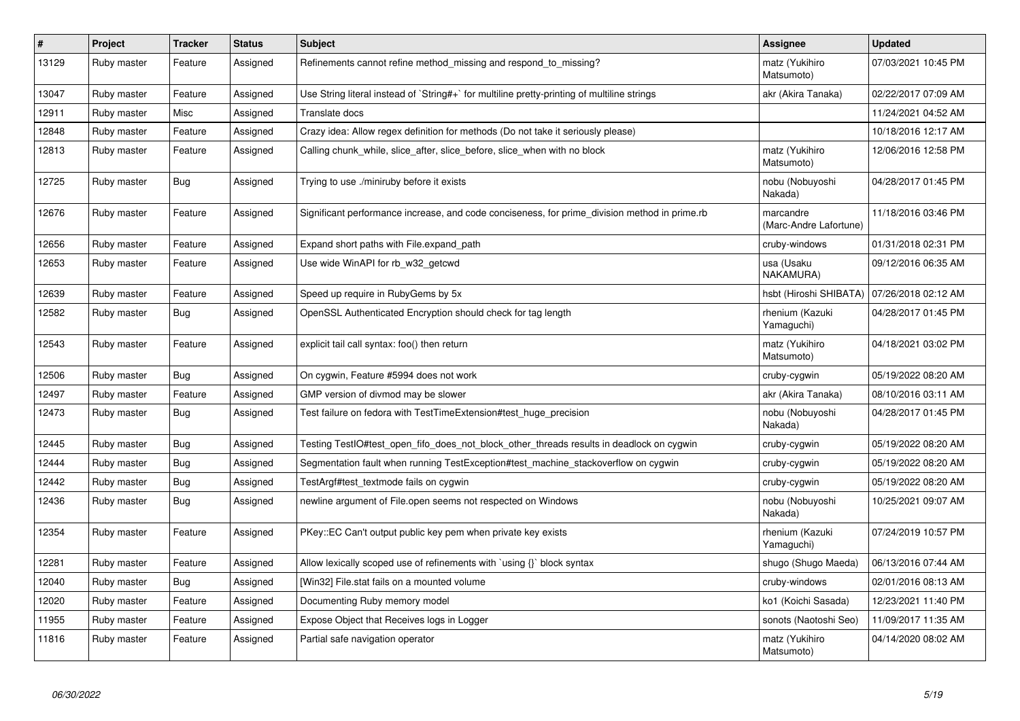| $\vert$ # | Project     | <b>Tracker</b> | <b>Status</b> | <b>Subject</b>                                                                                | Assignee                            | <b>Updated</b>      |
|-----------|-------------|----------------|---------------|-----------------------------------------------------------------------------------------------|-------------------------------------|---------------------|
| 13129     | Ruby master | Feature        | Assigned      | Refinements cannot refine method missing and respond to missing?                              | matz (Yukihiro<br>Matsumoto)        | 07/03/2021 10:45 PM |
| 13047     | Ruby master | Feature        | Assigned      | Use String literal instead of `String#+` for multiline pretty-printing of multiline strings   | akr (Akira Tanaka)                  | 02/22/2017 07:09 AM |
| 12911     | Ruby master | Misc           | Assigned      | Translate docs                                                                                |                                     | 11/24/2021 04:52 AM |
| 12848     | Ruby master | Feature        | Assigned      | Crazy idea: Allow regex definition for methods (Do not take it seriously please)              |                                     | 10/18/2016 12:17 AM |
| 12813     | Ruby master | Feature        | Assigned      | Calling chunk_while, slice_after, slice_before, slice_when with no block                      | matz (Yukihiro<br>Matsumoto)        | 12/06/2016 12:58 PM |
| 12725     | Ruby master | <b>Bug</b>     | Assigned      | Trying to use ./miniruby before it exists                                                     | nobu (Nobuyoshi<br>Nakada)          | 04/28/2017 01:45 PM |
| 12676     | Ruby master | Feature        | Assigned      | Significant performance increase, and code conciseness, for prime division method in prime.rb | marcandre<br>(Marc-Andre Lafortune) | 11/18/2016 03:46 PM |
| 12656     | Ruby master | Feature        | Assigned      | Expand short paths with File.expand path                                                      | cruby-windows                       | 01/31/2018 02:31 PM |
| 12653     | Ruby master | Feature        | Assigned      | Use wide WinAPI for rb_w32_getcwd                                                             | usa (Usaku<br>NAKAMURA)             | 09/12/2016 06:35 AM |
| 12639     | Ruby master | Feature        | Assigned      | Speed up require in RubyGems by 5x                                                            | hsbt (Hiroshi SHIBATA)              | 07/26/2018 02:12 AM |
| 12582     | Ruby master | <b>Bug</b>     | Assigned      | OpenSSL Authenticated Encryption should check for tag length                                  | rhenium (Kazuki<br>Yamaguchi)       | 04/28/2017 01:45 PM |
| 12543     | Ruby master | Feature        | Assigned      | explicit tail call syntax: foo() then return                                                  | matz (Yukihiro<br>Matsumoto)        | 04/18/2021 03:02 PM |
| 12506     | Ruby master | <b>Bug</b>     | Assigned      | On cygwin, Feature #5994 does not work                                                        | cruby-cygwin                        | 05/19/2022 08:20 AM |
| 12497     | Ruby master | Feature        | Assigned      | GMP version of divmod may be slower                                                           | akr (Akira Tanaka)                  | 08/10/2016 03:11 AM |
| 12473     | Ruby master | <b>Bug</b>     | Assigned      | Test failure on fedora with TestTimeExtension#test_huge_precision                             | nobu (Nobuyoshi<br>Nakada)          | 04/28/2017 01:45 PM |
| 12445     | Ruby master | <b>Bug</b>     | Assigned      | Testing TestlO#test_open_fifo_does_not_block_other_threads results in deadlock on cygwin      | cruby-cygwin                        | 05/19/2022 08:20 AM |
| 12444     | Ruby master | <b>Bug</b>     | Assigned      | Segmentation fault when running TestException#test machine stackoverflow on cygwin            | cruby-cygwin                        | 05/19/2022 08:20 AM |
| 12442     | Ruby master | <b>Bug</b>     | Assigned      | TestArgf#test textmode fails on cygwin                                                        | cruby-cygwin                        | 05/19/2022 08:20 AM |
| 12436     | Ruby master | <b>Bug</b>     | Assigned      | newline argument of File.open seems not respected on Windows                                  | nobu (Nobuyoshi<br>Nakada)          | 10/25/2021 09:07 AM |
| 12354     | Ruby master | Feature        | Assigned      | PKey::EC Can't output public key pem when private key exists                                  | rhenium (Kazuki<br>Yamaguchi)       | 07/24/2019 10:57 PM |
| 12281     | Ruby master | Feature        | Assigned      | Allow lexically scoped use of refinements with `using {}` block syntax                        | shugo (Shugo Maeda)                 | 06/13/2016 07:44 AM |
| 12040     | Ruby master | <b>Bug</b>     | Assigned      | [Win32] File.stat fails on a mounted volume                                                   | cruby-windows                       | 02/01/2016 08:13 AM |
| 12020     | Ruby master | Feature        | Assigned      | Documenting Ruby memory model                                                                 | ko1 (Koichi Sasada)                 | 12/23/2021 11:40 PM |
| 11955     | Ruby master | Feature        | Assigned      | Expose Object that Receives logs in Logger                                                    | sonots (Naotoshi Seo)               | 11/09/2017 11:35 AM |
| 11816     | Ruby master | Feature        | Assigned      | Partial safe navigation operator                                                              | matz (Yukihiro<br>Matsumoto)        | 04/14/2020 08:02 AM |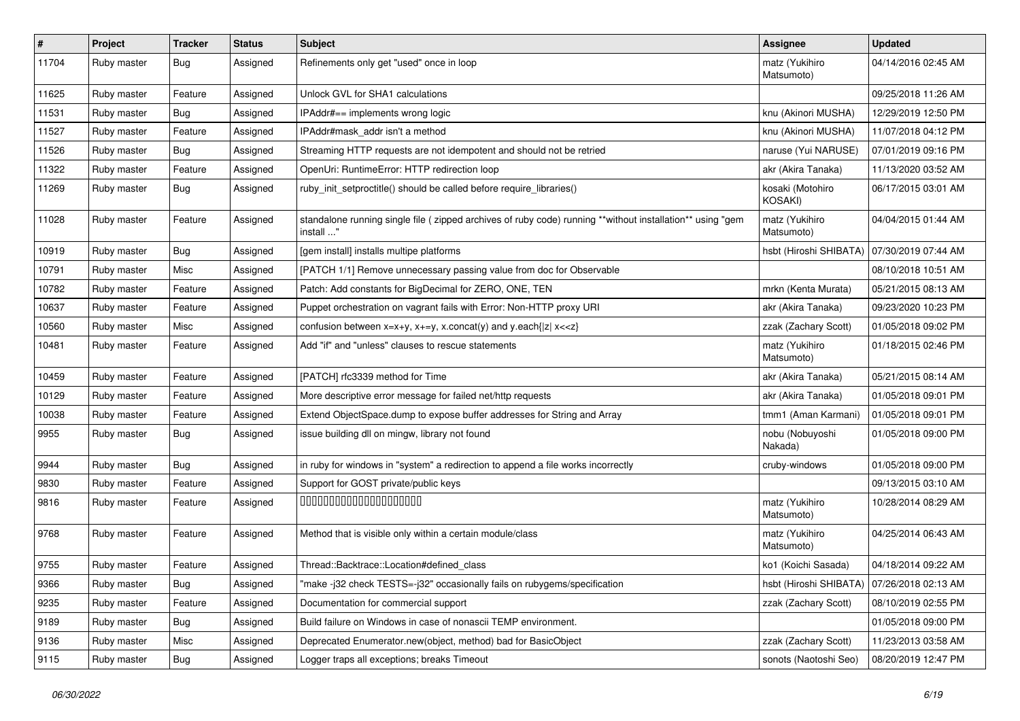| $\vert$ # | Project     | <b>Tracker</b> | <b>Status</b> | Subject                                                                                                                 | Assignee                     | <b>Updated</b>      |
|-----------|-------------|----------------|---------------|-------------------------------------------------------------------------------------------------------------------------|------------------------------|---------------------|
| 11704     | Ruby master | <b>Bug</b>     | Assigned      | Refinements only get "used" once in loop                                                                                | matz (Yukihiro<br>Matsumoto) | 04/14/2016 02:45 AM |
| 11625     | Ruby master | Feature        | Assigned      | Unlock GVL for SHA1 calculations                                                                                        |                              | 09/25/2018 11:26 AM |
| 11531     | Ruby master | <b>Bug</b>     | Assigned      | IPAddr#== implements wrong logic                                                                                        | knu (Akinori MUSHA)          | 12/29/2019 12:50 PM |
| 11527     | Ruby master | Feature        | Assigned      | IPAddr#mask_addr isn't a method                                                                                         | knu (Akinori MUSHA)          | 11/07/2018 04:12 PM |
| 11526     | Ruby master | <b>Bug</b>     | Assigned      | Streaming HTTP requests are not idempotent and should not be retried                                                    | naruse (Yui NARUSE)          | 07/01/2019 09:16 PM |
| 11322     | Ruby master | Feature        | Assigned      | OpenUri: RuntimeError: HTTP redirection loop                                                                            | akr (Akira Tanaka)           | 11/13/2020 03:52 AM |
| 11269     | Ruby master | <b>Bug</b>     | Assigned      | ruby_init_setproctitle() should be called before require_libraries()                                                    | kosaki (Motohiro<br>KOSAKI)  | 06/17/2015 03:01 AM |
| 11028     | Ruby master | Feature        | Assigned      | standalone running single file ( zipped archives of ruby code) running **without installation** using "gem<br>install " | matz (Yukihiro<br>Matsumoto) | 04/04/2015 01:44 AM |
| 10919     | Ruby master | <b>Bug</b>     | Assigned      | [gem install] installs multipe platforms                                                                                | hsbt (Hiroshi SHIBATA)       | 07/30/2019 07:44 AM |
| 10791     | Ruby master | Misc           | Assigned      | [PATCH 1/1] Remove unnecessary passing value from doc for Observable                                                    |                              | 08/10/2018 10:51 AM |
| 10782     | Ruby master | Feature        | Assigned      | Patch: Add constants for BigDecimal for ZERO, ONE, TEN                                                                  | mrkn (Kenta Murata)          | 05/21/2015 08:13 AM |
| 10637     | Ruby master | Feature        | Assigned      | Puppet orchestration on vagrant fails with Error: Non-HTTP proxy URI                                                    | akr (Akira Tanaka)           | 09/23/2020 10:23 PM |
| 10560     | Ruby master | Misc           | Assigned      | confusion between $x=x+y$ , $x+=y$ , x.concat(y) and y.each{ z  $x<}$                                                   | zzak (Zachary Scott)         | 01/05/2018 09:02 PM |
| 10481     | Ruby master | Feature        | Assigned      | Add "if" and "unless" clauses to rescue statements                                                                      | matz (Yukihiro<br>Matsumoto) | 01/18/2015 02:46 PM |
| 10459     | Ruby master | Feature        | Assigned      | [PATCH] rfc3339 method for Time                                                                                         | akr (Akira Tanaka)           | 05/21/2015 08:14 AM |
| 10129     | Ruby master | Feature        | Assigned      | More descriptive error message for failed net/http requests                                                             | akr (Akira Tanaka)           | 01/05/2018 09:01 PM |
| 10038     | Ruby master | Feature        | Assigned      | Extend ObjectSpace.dump to expose buffer addresses for String and Array                                                 | tmm1 (Aman Karmani)          | 01/05/2018 09:01 PM |
| 9955      | Ruby master | <b>Bug</b>     | Assigned      | issue building dll on mingw, library not found                                                                          | nobu (Nobuyoshi<br>Nakada)   | 01/05/2018 09:00 PM |
| 9944      | Ruby master | <b>Bug</b>     | Assigned      | in ruby for windows in "system" a redirection to append a file works incorrectly                                        | cruby-windows                | 01/05/2018 09:00 PM |
| 9830      | Ruby master | Feature        | Assigned      | Support for GOST private/public keys                                                                                    |                              | 09/13/2015 03:10 AM |
| 9816      | Ruby master | Feature        | Assigned      | 00000000000000000000                                                                                                    | matz (Yukihiro<br>Matsumoto) | 10/28/2014 08:29 AM |
| 9768      | Ruby master | Feature        | Assigned      | Method that is visible only within a certain module/class                                                               | matz (Yukihiro<br>Matsumoto) | 04/25/2014 06:43 AM |
| 9755      | Ruby master | Feature        | Assigned      | Thread::Backtrace::Location#defined class                                                                               | ko1 (Koichi Sasada)          | 04/18/2014 09:22 AM |
| 9366      | Ruby master | <b>Bug</b>     | Assigned      | "make -j32 check TESTS=-j32" occasionally fails on rubygems/specification                                               | hsbt (Hiroshi SHIBATA)       | 07/26/2018 02:13 AM |
| 9235      | Ruby master | Feature        | Assigned      | Documentation for commercial support                                                                                    | zzak (Zachary Scott)         | 08/10/2019 02:55 PM |
| 9189      | Ruby master | <b>Bug</b>     | Assigned      | Build failure on Windows in case of nonascii TEMP environment.                                                          |                              | 01/05/2018 09:00 PM |
| 9136      | Ruby master | Misc           | Assigned      | Deprecated Enumerator.new(object, method) bad for BasicObject                                                           | zzak (Zachary Scott)         | 11/23/2013 03:58 AM |
| 9115      | Ruby master | <b>Bug</b>     | Assigned      | Logger traps all exceptions; breaks Timeout                                                                             | sonots (Naotoshi Seo)        | 08/20/2019 12:47 PM |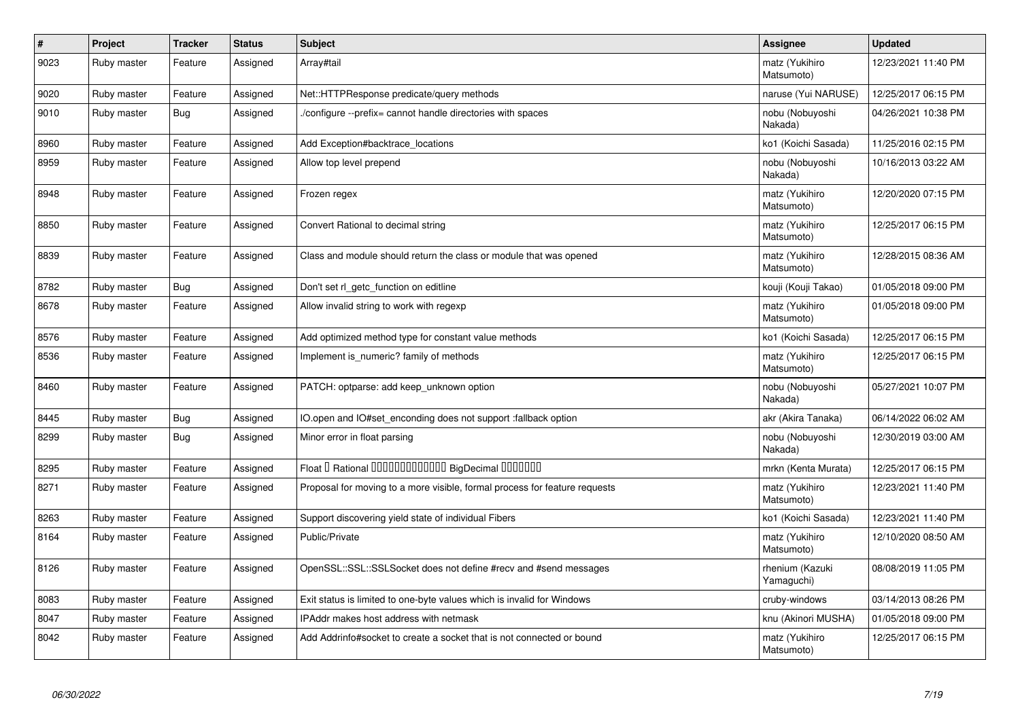| $\sharp$ | Project     | <b>Tracker</b> | <b>Status</b> | <b>Subject</b>                                                             | Assignee                      | <b>Updated</b>      |
|----------|-------------|----------------|---------------|----------------------------------------------------------------------------|-------------------------------|---------------------|
| 9023     | Ruby master | Feature        | Assigned      | Array#tail                                                                 | matz (Yukihiro<br>Matsumoto)  | 12/23/2021 11:40 PM |
| 9020     | Ruby master | Feature        | Assigned      | Net::HTTPResponse predicate/query methods                                  | naruse (Yui NARUSE)           | 12/25/2017 06:15 PM |
| 9010     | Ruby master | <b>Bug</b>     | Assigned      | /configure --prefix= cannot handle directories with spaces                 | nobu (Nobuyoshi<br>Nakada)    | 04/26/2021 10:38 PM |
| 8960     | Ruby master | Feature        | Assigned      | Add Exception#backtrace_locations                                          | ko1 (Koichi Sasada)           | 11/25/2016 02:15 PM |
| 8959     | Ruby master | Feature        | Assigned      | Allow top level prepend                                                    | nobu (Nobuyoshi<br>Nakada)    | 10/16/2013 03:22 AM |
| 8948     | Ruby master | Feature        | Assigned      | Frozen regex                                                               | matz (Yukihiro<br>Matsumoto)  | 12/20/2020 07:15 PM |
| 8850     | Ruby master | Feature        | Assigned      | Convert Rational to decimal string                                         | matz (Yukihiro<br>Matsumoto)  | 12/25/2017 06:15 PM |
| 8839     | Ruby master | Feature        | Assigned      | Class and module should return the class or module that was opened         | matz (Yukihiro<br>Matsumoto)  | 12/28/2015 08:36 AM |
| 8782     | Ruby master | Bug            | Assigned      | Don't set rl getc function on editline                                     | kouji (Kouji Takao)           | 01/05/2018 09:00 PM |
| 8678     | Ruby master | Feature        | Assigned      | Allow invalid string to work with regexp                                   | matz (Yukihiro<br>Matsumoto)  | 01/05/2018 09:00 PM |
| 8576     | Ruby master | Feature        | Assigned      | Add optimized method type for constant value methods                       | ko1 (Koichi Sasada)           | 12/25/2017 06:15 PM |
| 8536     | Ruby master | Feature        | Assigned      | Implement is numeric? family of methods                                    | matz (Yukihiro<br>Matsumoto)  | 12/25/2017 06:15 PM |
| 8460     | Ruby master | Feature        | Assigned      | PATCH: optparse: add keep_unknown option                                   | nobu (Nobuyoshi<br>Nakada)    | 05/27/2021 10:07 PM |
| 8445     | Ruby master | <b>Bug</b>     | Assigned      | IO.open and IO#set_enconding does not support :fallback option             | akr (Akira Tanaka)            | 06/14/2022 06:02 AM |
| 8299     | Ruby master | Bug            | Assigned      | Minor error in float parsing                                               | nobu (Nobuyoshi<br>Nakada)    | 12/30/2019 03:00 AM |
| 8295     | Ruby master | Feature        | Assigned      | Float I Rational 0000000000000 BigDecimal 0000000                          | mrkn (Kenta Murata)           | 12/25/2017 06:15 PM |
| 8271     | Ruby master | Feature        | Assigned      | Proposal for moving to a more visible, formal process for feature requests | matz (Yukihiro<br>Matsumoto)  | 12/23/2021 11:40 PM |
| 8263     | Ruby master | Feature        | Assigned      | Support discovering yield state of individual Fibers                       | ko1 (Koichi Sasada)           | 12/23/2021 11:40 PM |
| 8164     | Ruby master | Feature        | Assigned      | Public/Private                                                             | matz (Yukihiro<br>Matsumoto)  | 12/10/2020 08:50 AM |
| 8126     | Ruby master | Feature        | Assigned      | OpenSSL::SSL::SSLSocket does not define #recv and #send messages           | rhenium (Kazuki<br>Yamaguchi) | 08/08/2019 11:05 PM |
| 8083     | Ruby master | Feature        | Assigned      | Exit status is limited to one-byte values which is invalid for Windows     | cruby-windows                 | 03/14/2013 08:26 PM |
| 8047     | Ruby master | Feature        | Assigned      | IPAddr makes host address with netmask                                     | knu (Akinori MUSHA)           | 01/05/2018 09:00 PM |
| 8042     | Ruby master | Feature        | Assigned      | Add Addrinfo#socket to create a socket that is not connected or bound      | matz (Yukihiro<br>Matsumoto)  | 12/25/2017 06:15 PM |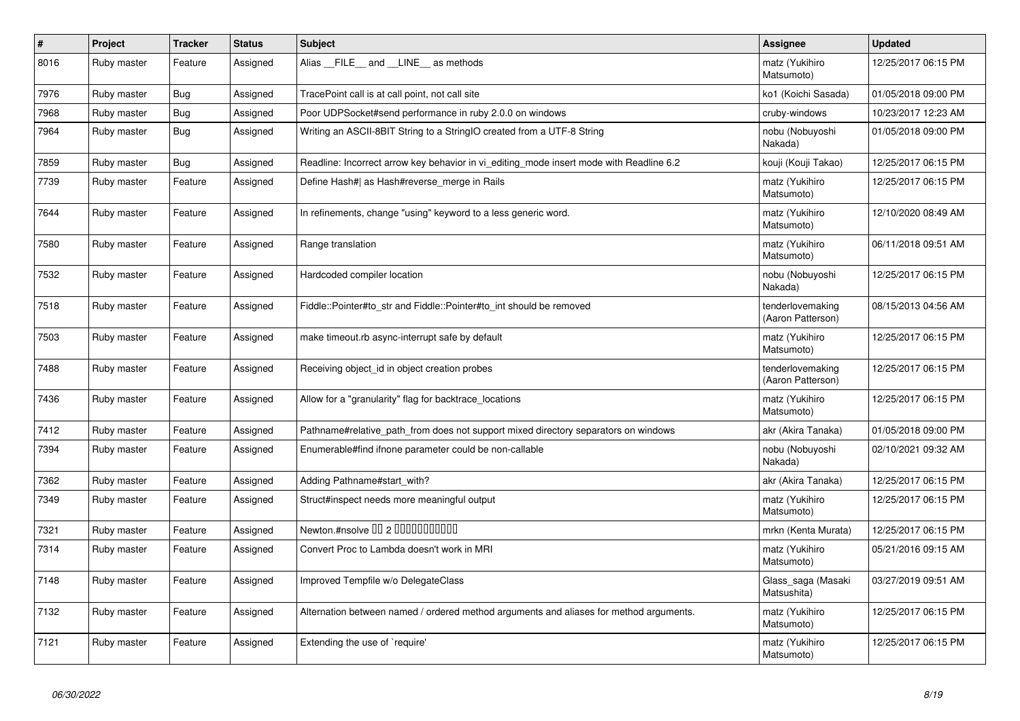| ∦    | <b>Project</b> | <b>Tracker</b> | <b>Status</b> | <b>Subject</b>                                                                          | Assignee                              | <b>Updated</b>      |
|------|----------------|----------------|---------------|-----------------------------------------------------------------------------------------|---------------------------------------|---------------------|
| 8016 | Ruby master    | Feature        | Assigned      | Alias FILE and LINE as methods                                                          | matz (Yukihiro<br>Matsumoto)          | 12/25/2017 06:15 PM |
| 7976 | Ruby master    | <b>Bug</b>     | Assigned      | TracePoint call is at call point, not call site                                         | ko1 (Koichi Sasada)                   | 01/05/2018 09:00 PM |
| 7968 | Ruby master    | Bug            | Assigned      | Poor UDPSocket#send performance in ruby 2.0.0 on windows                                | cruby-windows                         | 10/23/2017 12:23 AM |
| 7964 | Ruby master    | <b>Bug</b>     | Assigned      | Writing an ASCII-8BIT String to a StringIO created from a UTF-8 String                  | nobu (Nobuyoshi<br>Nakada)            | 01/05/2018 09:00 PM |
| 7859 | Ruby master    | <b>Bug</b>     | Assigned      | Readline: Incorrect arrow key behavior in vi_editing_mode insert mode with Readline 6.2 | kouji (Kouji Takao)                   | 12/25/2017 06:15 PM |
| 7739 | Ruby master    | Feature        | Assigned      | Define Hash#  as Hash#reverse merge in Rails                                            | matz (Yukihiro<br>Matsumoto)          | 12/25/2017 06:15 PM |
| 7644 | Ruby master    | Feature        | Assigned      | In refinements, change "using" keyword to a less generic word.                          | matz (Yukihiro<br>Matsumoto)          | 12/10/2020 08:49 AM |
| 7580 | Ruby master    | Feature        | Assigned      | Range translation                                                                       | matz (Yukihiro<br>Matsumoto)          | 06/11/2018 09:51 AM |
| 7532 | Ruby master    | Feature        | Assigned      | Hardcoded compiler location                                                             | nobu (Nobuyoshi<br>Nakada)            | 12/25/2017 06:15 PM |
| 7518 | Ruby master    | Feature        | Assigned      | Fiddle::Pointer#to str and Fiddle::Pointer#to int should be removed                     | tenderlovemaking<br>(Aaron Patterson) | 08/15/2013 04:56 AM |
| 7503 | Ruby master    | Feature        | Assigned      | make timeout rb async-interrupt safe by default                                         | matz (Yukihiro<br>Matsumoto)          | 12/25/2017 06:15 PM |
| 7488 | Ruby master    | Feature        | Assigned      | Receiving object id in object creation probes                                           | tenderlovemaking<br>(Aaron Patterson) | 12/25/2017 06:15 PM |
| 7436 | Ruby master    | Feature        | Assigned      | Allow for a "granularity" flag for backtrace_locations                                  | matz (Yukihiro<br>Matsumoto)          | 12/25/2017 06:15 PM |
| 7412 | Ruby master    | Feature        | Assigned      | Pathname#relative_path_from does not support mixed directory separators on windows      | akr (Akira Tanaka)                    | 01/05/2018 09:00 PM |
| 7394 | Ruby master    | Feature        | Assigned      | Enumerable#find ifnone parameter could be non-callable                                  | nobu (Nobuyoshi<br>Nakada)            | 02/10/2021 09:32 AM |
| 7362 | Ruby master    | Feature        | Assigned      | Adding Pathname#start with?                                                             | akr (Akira Tanaka)                    | 12/25/2017 06:15 PM |
| 7349 | Ruby master    | Feature        | Assigned      | Struct#inspect needs more meaningful output                                             | matz (Yukihiro<br>Matsumoto)          | 12/25/2017 06:15 PM |
| 7321 | Ruby master    | Feature        | Assigned      | Newton.#nsolve 00 2 0000000000                                                          | mrkn (Kenta Murata)                   | 12/25/2017 06:15 PM |
| 7314 | Ruby master    | Feature        | Assigned      | Convert Proc to Lambda doesn't work in MRI                                              | matz (Yukihiro<br>Matsumoto)          | 05/21/2016 09:15 AM |
| 7148 | Ruby master    | Feature        | Assigned      | Improved Tempfile w/o DelegateClass                                                     | Glass_saga (Masaki<br>Matsushita)     | 03/27/2019 09:51 AM |
| 7132 | Ruby master    | Feature        | Assigned      | Alternation between named / ordered method arguments and aliases for method arguments.  | matz (Yukihiro<br>Matsumoto)          | 12/25/2017 06:15 PM |
| 7121 | Ruby master    | Feature        | Assigned      | Extending the use of `require'                                                          | matz (Yukihiro<br>Matsumoto)          | 12/25/2017 06:15 PM |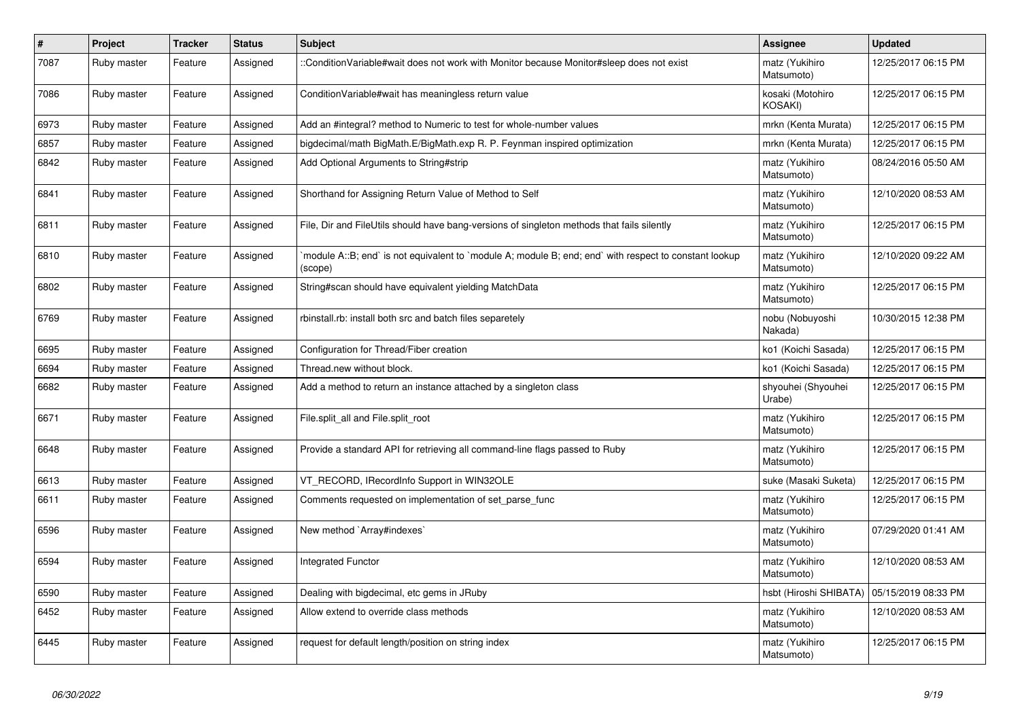| #    | Project     | <b>Tracker</b> | <b>Status</b> | <b>Subject</b>                                                                                                   | Assignee                           | <b>Updated</b>      |
|------|-------------|----------------|---------------|------------------------------------------------------------------------------------------------------------------|------------------------------------|---------------------|
| 7087 | Ruby master | Feature        | Assigned      | ::ConditionVariable#wait does not work with Monitor because Monitor#sleep does not exist                         | matz (Yukihiro<br>Matsumoto)       | 12/25/2017 06:15 PM |
| 7086 | Ruby master | Feature        | Assigned      | Condition Variable#wait has meaningless return value                                                             | kosaki (Motohiro<br><b>KOSAKI)</b> | 12/25/2017 06:15 PM |
| 6973 | Ruby master | Feature        | Assigned      | Add an #integral? method to Numeric to test for whole-number values                                              | mrkn (Kenta Murata)                | 12/25/2017 06:15 PM |
| 6857 | Ruby master | Feature        | Assigned      | bigdecimal/math BigMath.E/BigMath.exp R. P. Feynman inspired optimization                                        | mrkn (Kenta Murata)                | 12/25/2017 06:15 PM |
| 6842 | Ruby master | Feature        | Assigned      | Add Optional Arguments to String#strip                                                                           | matz (Yukihiro<br>Matsumoto)       | 08/24/2016 05:50 AM |
| 6841 | Ruby master | Feature        | Assigned      | Shorthand for Assigning Return Value of Method to Self                                                           | matz (Yukihiro<br>Matsumoto)       | 12/10/2020 08:53 AM |
| 6811 | Ruby master | Feature        | Assigned      | File, Dir and FileUtils should have bang-versions of singleton methods that fails silently                       | matz (Yukihiro<br>Matsumoto)       | 12/25/2017 06:15 PM |
| 6810 | Ruby master | Feature        | Assigned      | module A::B; end` is not equivalent to `module A; module B; end; end` with respect to constant lookup<br>(scope) | matz (Yukihiro<br>Matsumoto)       | 12/10/2020 09:22 AM |
| 6802 | Ruby master | Feature        | Assigned      | String#scan should have equivalent yielding MatchData                                                            | matz (Yukihiro<br>Matsumoto)       | 12/25/2017 06:15 PM |
| 6769 | Ruby master | Feature        | Assigned      | rbinstall.rb: install both src and batch files separetely                                                        | nobu (Nobuyoshi<br>Nakada)         | 10/30/2015 12:38 PM |
| 6695 | Ruby master | Feature        | Assigned      | Configuration for Thread/Fiber creation                                                                          | ko1 (Koichi Sasada)                | 12/25/2017 06:15 PM |
| 6694 | Ruby master | Feature        | Assigned      | Thread.new without block.                                                                                        | ko1 (Koichi Sasada)                | 12/25/2017 06:15 PM |
| 6682 | Ruby master | Feature        | Assigned      | Add a method to return an instance attached by a singleton class                                                 | shyouhei (Shyouhei<br>Urabe)       | 12/25/2017 06:15 PM |
| 6671 | Ruby master | Feature        | Assigned      | File.split_all and File.split_root                                                                               | matz (Yukihiro<br>Matsumoto)       | 12/25/2017 06:15 PM |
| 6648 | Ruby master | Feature        | Assigned      | Provide a standard API for retrieving all command-line flags passed to Ruby                                      | matz (Yukihiro<br>Matsumoto)       | 12/25/2017 06:15 PM |
| 6613 | Ruby master | Feature        | Assigned      | VT_RECORD, IRecordInfo Support in WIN32OLE                                                                       | suke (Masaki Suketa)               | 12/25/2017 06:15 PM |
| 6611 | Ruby master | Feature        | Assigned      | Comments requested on implementation of set parse func                                                           | matz (Yukihiro<br>Matsumoto)       | 12/25/2017 06:15 PM |
| 6596 | Ruby master | Feature        | Assigned      | New method `Array#indexes`                                                                                       | matz (Yukihiro<br>Matsumoto)       | 07/29/2020 01:41 AM |
| 6594 | Ruby master | Feature        | Assigned      | Integrated Functor                                                                                               | matz (Yukihiro<br>Matsumoto)       | 12/10/2020 08:53 AM |
| 6590 | Ruby master | Feature        | Assigned      | Dealing with bigdecimal, etc gems in JRuby                                                                       | hsbt (Hiroshi SHIBATA)             | 05/15/2019 08:33 PM |
| 6452 | Ruby master | Feature        | Assigned      | Allow extend to override class methods                                                                           | matz (Yukihiro<br>Matsumoto)       | 12/10/2020 08:53 AM |
| 6445 | Ruby master | Feature        | Assigned      | request for default length/position on string index                                                              | matz (Yukihiro<br>Matsumoto)       | 12/25/2017 06:15 PM |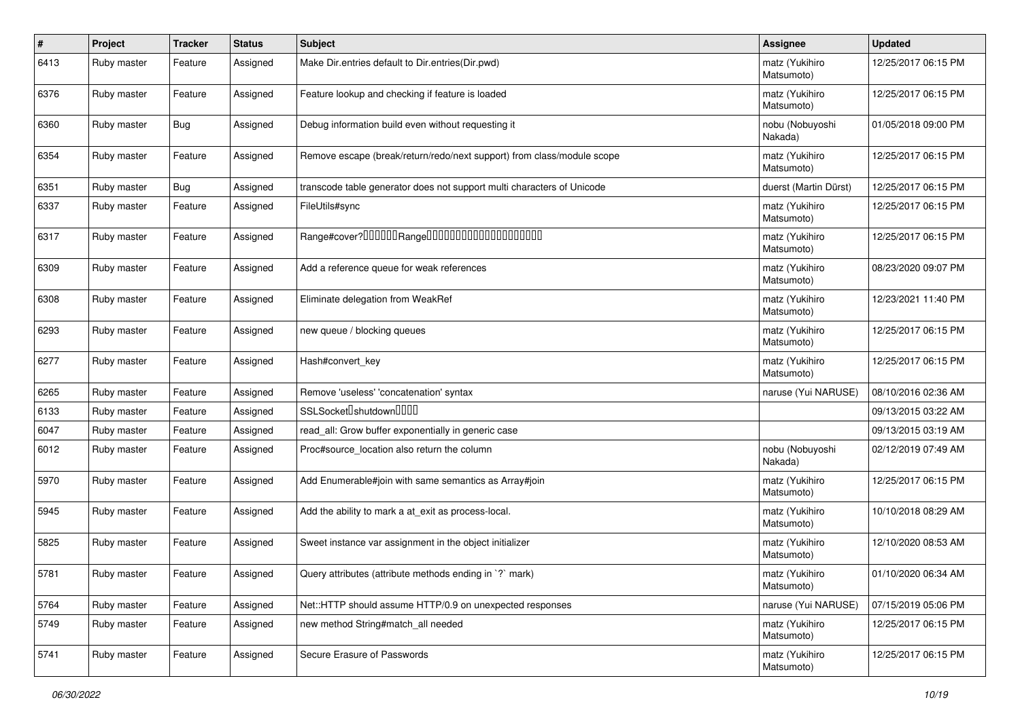| #    | Project     | <b>Tracker</b> | <b>Status</b> | Subject                                                                | Assignee                     | <b>Updated</b>      |
|------|-------------|----------------|---------------|------------------------------------------------------------------------|------------------------------|---------------------|
| 6413 | Ruby master | Feature        | Assigned      | Make Dir.entries default to Dir.entries(Dir.pwd)                       | matz (Yukihiro<br>Matsumoto) | 12/25/2017 06:15 PM |
| 6376 | Ruby master | Feature        | Assigned      | Feature lookup and checking if feature is loaded                       | matz (Yukihiro<br>Matsumoto) | 12/25/2017 06:15 PM |
| 6360 | Ruby master | Bug            | Assigned      | Debug information build even without requesting it                     | nobu (Nobuyoshi<br>Nakada)   | 01/05/2018 09:00 PM |
| 6354 | Ruby master | Feature        | Assigned      | Remove escape (break/return/redo/next support) from class/module scope | matz (Yukihiro<br>Matsumoto) | 12/25/2017 06:15 PM |
| 6351 | Ruby master | Bug            | Assigned      | transcode table generator does not support multi characters of Unicode | duerst (Martin Dürst)        | 12/25/2017 06:15 PM |
| 6337 | Ruby master | Feature        | Assigned      | FileUtils#sync                                                         | matz (Yukihiro<br>Matsumoto) | 12/25/2017 06:15 PM |
| 6317 | Ruby master | Feature        | Assigned      | Range#cover?000000Range00000000000000000000                            | matz (Yukihiro<br>Matsumoto) | 12/25/2017 06:15 PM |
| 6309 | Ruby master | Feature        | Assigned      | Add a reference queue for weak references                              | matz (Yukihiro<br>Matsumoto) | 08/23/2020 09:07 PM |
| 6308 | Ruby master | Feature        | Assigned      | Eliminate delegation from WeakRef                                      | matz (Yukihiro<br>Matsumoto) | 12/23/2021 11:40 PM |
| 6293 | Ruby master | Feature        | Assigned      | new queue / blocking queues                                            | matz (Yukihiro<br>Matsumoto) | 12/25/2017 06:15 PM |
| 6277 | Ruby master | Feature        | Assigned      | Hash#convert_key                                                       | matz (Yukihiro<br>Matsumoto) | 12/25/2017 06:15 PM |
| 6265 | Ruby master | Feature        | Assigned      | Remove 'useless' 'concatenation' syntax                                | naruse (Yui NARUSE)          | 08/10/2016 02:36 AM |
| 6133 | Ruby master | Feature        | Assigned      | SSLSocket <sup>[]</sup> shutdown <sup>[][][]</sup>                     |                              | 09/13/2015 03:22 AM |
| 6047 | Ruby master | Feature        | Assigned      | read_all: Grow buffer exponentially in generic case                    |                              | 09/13/2015 03:19 AM |
| 6012 | Ruby master | Feature        | Assigned      | Proc#source location also return the column                            | nobu (Nobuyoshi<br>Nakada)   | 02/12/2019 07:49 AM |
| 5970 | Ruby master | Feature        | Assigned      | Add Enumerable#join with same semantics as Array#join                  | matz (Yukihiro<br>Matsumoto) | 12/25/2017 06:15 PM |
| 5945 | Ruby master | Feature        | Assigned      | Add the ability to mark a at_exit as process-local.                    | matz (Yukihiro<br>Matsumoto) | 10/10/2018 08:29 AM |
| 5825 | Ruby master | Feature        | Assigned      | Sweet instance var assignment in the object initializer                | matz (Yukihiro<br>Matsumoto) | 12/10/2020 08:53 AM |
| 5781 | Ruby master | Feature        | Assigned      | Query attributes (attribute methods ending in `?` mark)                | matz (Yukihiro<br>Matsumoto) | 01/10/2020 06:34 AM |
| 5764 | Ruby master | Feature        | Assigned      | Net::HTTP should assume HTTP/0.9 on unexpected responses               | naruse (Yui NARUSE)          | 07/15/2019 05:06 PM |
| 5749 | Ruby master | Feature        | Assigned      | new method String#match_all needed                                     | matz (Yukihiro<br>Matsumoto) | 12/25/2017 06:15 PM |
| 5741 | Ruby master | Feature        | Assigned      | Secure Erasure of Passwords                                            | matz (Yukihiro<br>Matsumoto) | 12/25/2017 06:15 PM |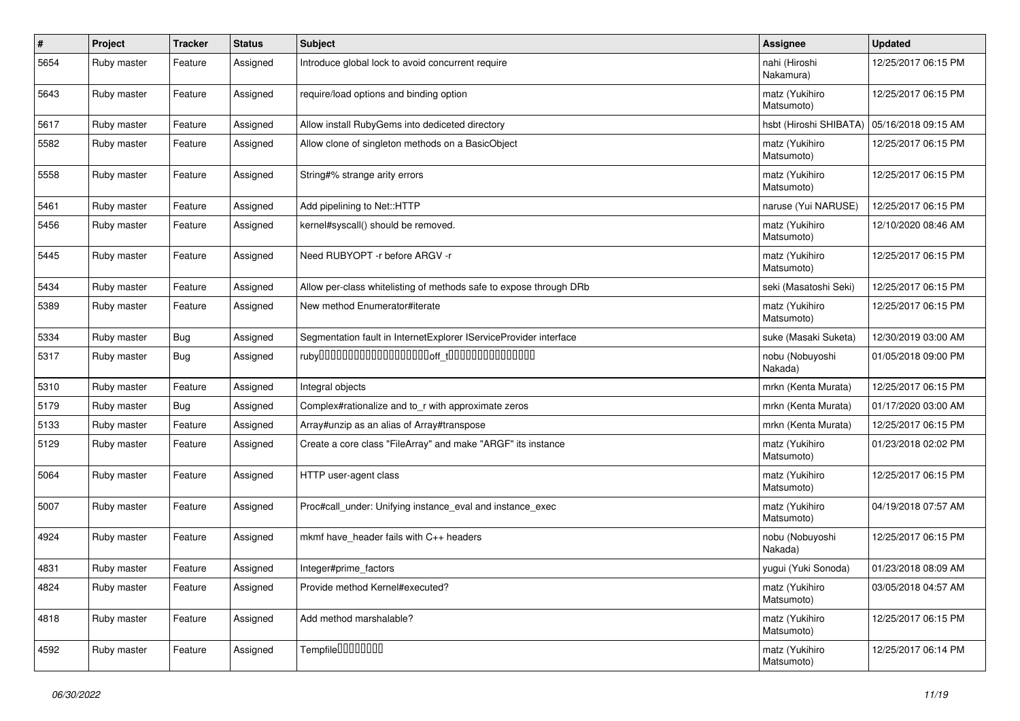| #    | Project     | <b>Tracker</b> | <b>Status</b> | Subject                                                            | Assignee                     | <b>Updated</b>      |
|------|-------------|----------------|---------------|--------------------------------------------------------------------|------------------------------|---------------------|
| 5654 | Ruby master | Feature        | Assigned      | Introduce global lock to avoid concurrent require                  | nahi (Hiroshi<br>Nakamura)   | 12/25/2017 06:15 PM |
| 5643 | Ruby master | Feature        | Assigned      | require/load options and binding option                            | matz (Yukihiro<br>Matsumoto) | 12/25/2017 06:15 PM |
| 5617 | Ruby master | Feature        | Assigned      | Allow install RubyGems into dediceted directory                    | hsbt (Hiroshi SHIBATA)       | 05/16/2018 09:15 AM |
| 5582 | Ruby master | Feature        | Assigned      | Allow clone of singleton methods on a BasicObject                  | matz (Yukihiro<br>Matsumoto) | 12/25/2017 06:15 PM |
| 5558 | Ruby master | Feature        | Assigned      | String#% strange arity errors                                      | matz (Yukihiro<br>Matsumoto) | 12/25/2017 06:15 PM |
| 5461 | Ruby master | Feature        | Assigned      | Add pipelining to Net::HTTP                                        | naruse (Yui NARUSE)          | 12/25/2017 06:15 PM |
| 5456 | Ruby master | Feature        | Assigned      | kernel#syscall() should be removed.                                | matz (Yukihiro<br>Matsumoto) | 12/10/2020 08:46 AM |
| 5445 | Ruby master | Feature        | Assigned      | Need RUBYOPT - r before ARGV - r                                   | matz (Yukihiro<br>Matsumoto) | 12/25/2017 06:15 PM |
| 5434 | Ruby master | Feature        | Assigned      | Allow per-class whitelisting of methods safe to expose through DRb | seki (Masatoshi Seki)        | 12/25/2017 06:15 PM |
| 5389 | Ruby master | Feature        | Assigned      | New method Enumerator#iterate                                      | matz (Yukihiro<br>Matsumoto) | 12/25/2017 06:15 PM |
| 5334 | Ruby master | Bug            | Assigned      | Segmentation fault in InternetExplorer IServiceProvider interface  | suke (Masaki Suketa)         | 12/30/2019 03:00 AM |
| 5317 | Ruby master | <b>Bug</b>     | Assigned      | $ruby$ 00000000000000000000 $r_{\text{t}}$ 000000000000000         | nobu (Nobuyoshi<br>Nakada)   | 01/05/2018 09:00 PM |
| 5310 | Ruby master | Feature        | Assigned      | Integral objects                                                   | mrkn (Kenta Murata)          | 12/25/2017 06:15 PM |
| 5179 | Ruby master | <b>Bug</b>     | Assigned      | Complex#rationalize and to r with approximate zeros                | mrkn (Kenta Murata)          | 01/17/2020 03:00 AM |
| 5133 | Ruby master | Feature        | Assigned      | Array#unzip as an alias of Array#transpose                         | mrkn (Kenta Murata)          | 12/25/2017 06:15 PM |
| 5129 | Ruby master | Feature        | Assigned      | Create a core class "FileArray" and make "ARGF" its instance       | matz (Yukihiro<br>Matsumoto) | 01/23/2018 02:02 PM |
| 5064 | Ruby master | Feature        | Assigned      | HTTP user-agent class                                              | matz (Yukihiro<br>Matsumoto) | 12/25/2017 06:15 PM |
| 5007 | Ruby master | Feature        | Assigned      | Proc#call_under: Unifying instance_eval and instance_exec          | matz (Yukihiro<br>Matsumoto) | 04/19/2018 07:57 AM |
| 4924 | Ruby master | Feature        | Assigned      | mkmf have_header fails with C++ headers                            | nobu (Nobuyoshi<br>Nakada)   | 12/25/2017 06:15 PM |
| 4831 | Ruby master | Feature        | Assigned      | Integer#prime factors                                              | yugui (Yuki Sonoda)          | 01/23/2018 08:09 AM |
| 4824 | Ruby master | Feature        | Assigned      | Provide method Kernel#executed?                                    | matz (Yukihiro<br>Matsumoto) | 03/05/2018 04:57 AM |
| 4818 | Ruby master | Feature        | Assigned      | Add method marshalable?                                            | matz (Yukihiro<br>Matsumoto) | 12/25/2017 06:15 PM |
| 4592 | Ruby master | Feature        | Assigned      | Tempfile <sup>[1010101011]</sup>                                   | matz (Yukihiro<br>Matsumoto) | 12/25/2017 06:14 PM |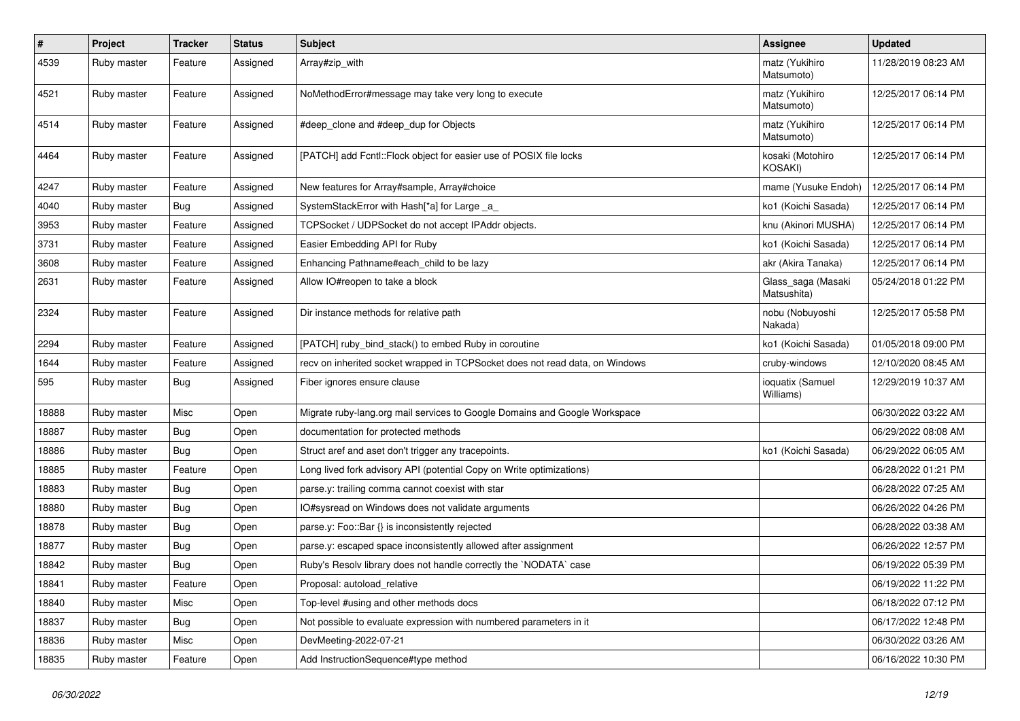| $\pmb{\#}$ | Project     | <b>Tracker</b> | <b>Status</b> | <b>Subject</b>                                                               | Assignee                           | <b>Updated</b>      |
|------------|-------------|----------------|---------------|------------------------------------------------------------------------------|------------------------------------|---------------------|
| 4539       | Ruby master | Feature        | Assigned      | Array#zip_with                                                               | matz (Yukihiro<br>Matsumoto)       | 11/28/2019 08:23 AM |
| 4521       | Ruby master | Feature        | Assigned      | NoMethodError#message may take very long to execute                          | matz (Yukihiro<br>Matsumoto)       | 12/25/2017 06:14 PM |
| 4514       | Ruby master | Feature        | Assigned      | #deep_clone and #deep_dup for Objects                                        | matz (Yukihiro<br>Matsumoto)       | 12/25/2017 06:14 PM |
| 4464       | Ruby master | Feature        | Assigned      | [PATCH] add Fcntl::Flock object for easier use of POSIX file locks           | kosaki (Motohiro<br><b>KOSAKI)</b> | 12/25/2017 06:14 PM |
| 4247       | Ruby master | Feature        | Assigned      | New features for Array#sample, Array#choice                                  | mame (Yusuke Endoh)                | 12/25/2017 06:14 PM |
| 4040       | Ruby master | <b>Bug</b>     | Assigned      | SystemStackError with Hash[*a] for Large _a_                                 | ko1 (Koichi Sasada)                | 12/25/2017 06:14 PM |
| 3953       | Ruby master | Feature        | Assigned      | TCPSocket / UDPSocket do not accept IPAddr objects.                          | knu (Akinori MUSHA)                | 12/25/2017 06:14 PM |
| 3731       | Ruby master | Feature        | Assigned      | Easier Embedding API for Ruby                                                | ko1 (Koichi Sasada)                | 12/25/2017 06:14 PM |
| 3608       | Ruby master | Feature        | Assigned      | Enhancing Pathname#each_child to be lazy                                     | akr (Akira Tanaka)                 | 12/25/2017 06:14 PM |
| 2631       | Ruby master | Feature        | Assigned      | Allow IO#reopen to take a block                                              | Glass_saga (Masaki<br>Matsushita)  | 05/24/2018 01:22 PM |
| 2324       | Ruby master | Feature        | Assigned      | Dir instance methods for relative path                                       | nobu (Nobuyoshi<br>Nakada)         | 12/25/2017 05:58 PM |
| 2294       | Ruby master | Feature        | Assigned      | [PATCH] ruby_bind_stack() to embed Ruby in coroutine                         | ko1 (Koichi Sasada)                | 01/05/2018 09:00 PM |
| 1644       | Ruby master | Feature        | Assigned      | recv on inherited socket wrapped in TCPSocket does not read data, on Windows | cruby-windows                      | 12/10/2020 08:45 AM |
| 595        | Ruby master | <b>Bug</b>     | Assigned      | Fiber ignores ensure clause                                                  | ioquatix (Samuel<br>Williams)      | 12/29/2019 10:37 AM |
| 18888      | Ruby master | Misc           | Open          | Migrate ruby-lang.org mail services to Google Domains and Google Workspace   |                                    | 06/30/2022 03:22 AM |
| 18887      | Ruby master | <b>Bug</b>     | Open          | documentation for protected methods                                          |                                    | 06/29/2022 08:08 AM |
| 18886      | Ruby master | <b>Bug</b>     | Open          | Struct aref and aset don't trigger any tracepoints.                          | ko1 (Koichi Sasada)                | 06/29/2022 06:05 AM |
| 18885      | Ruby master | Feature        | Open          | Long lived fork advisory API (potential Copy on Write optimizations)         |                                    | 06/28/2022 01:21 PM |
| 18883      | Ruby master | Bug            | Open          | parse.y: trailing comma cannot coexist with star                             |                                    | 06/28/2022 07:25 AM |
| 18880      | Ruby master | Bug            | Open          | IO#sysread on Windows does not validate arguments                            |                                    | 06/26/2022 04:26 PM |
| 18878      | Ruby master | <b>Bug</b>     | Open          | parse.y: Foo::Bar {} is inconsistently rejected                              |                                    | 06/28/2022 03:38 AM |
| 18877      | Ruby master | <b>Bug</b>     | Open          | parse.y: escaped space inconsistently allowed after assignment               |                                    | 06/26/2022 12:57 PM |
| 18842      | Ruby master | <b>Bug</b>     | Open          | Ruby's Resolv library does not handle correctly the `NODATA` case            |                                    | 06/19/2022 05:39 PM |
| 18841      | Ruby master | Feature        | Open          | Proposal: autoload_relative                                                  |                                    | 06/19/2022 11:22 PM |
| 18840      | Ruby master | Misc           | Open          | Top-level #using and other methods docs                                      |                                    | 06/18/2022 07:12 PM |
| 18837      | Ruby master | <b>Bug</b>     | Open          | Not possible to evaluate expression with numbered parameters in it           |                                    | 06/17/2022 12:48 PM |
| 18836      | Ruby master | Misc           | Open          | DevMeeting-2022-07-21                                                        |                                    | 06/30/2022 03:26 AM |
| 18835      | Ruby master | Feature        | Open          | Add InstructionSequence#type method                                          |                                    | 06/16/2022 10:30 PM |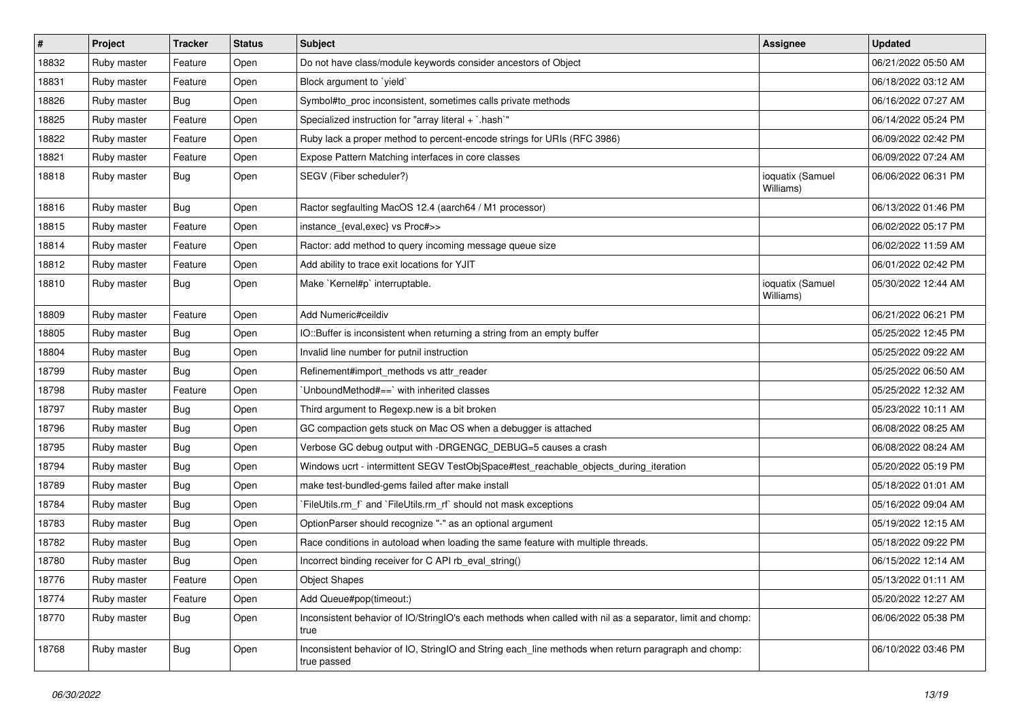| $\vert$ # | Project     | <b>Tracker</b> | <b>Status</b> | <b>Subject</b>                                                                                                     | Assignee                      | <b>Updated</b>      |
|-----------|-------------|----------------|---------------|--------------------------------------------------------------------------------------------------------------------|-------------------------------|---------------------|
| 18832     | Ruby master | Feature        | Open          | Do not have class/module keywords consider ancestors of Object                                                     |                               | 06/21/2022 05:50 AM |
| 18831     | Ruby master | Feature        | Open          | Block argument to 'yield'                                                                                          |                               | 06/18/2022 03:12 AM |
| 18826     | Ruby master | <b>Bug</b>     | Open          | Symbol#to_proc inconsistent, sometimes calls private methods                                                       |                               | 06/16/2022 07:27 AM |
| 18825     | Ruby master | Feature        | Open          | Specialized instruction for "array literal + `.hash`"                                                              |                               | 06/14/2022 05:24 PM |
| 18822     | Ruby master | Feature        | Open          | Ruby lack a proper method to percent-encode strings for URIs (RFC 3986)                                            |                               | 06/09/2022 02:42 PM |
| 18821     | Ruby master | Feature        | Open          | Expose Pattern Matching interfaces in core classes                                                                 |                               | 06/09/2022 07:24 AM |
| 18818     | Ruby master | <b>Bug</b>     | Open          | SEGV (Fiber scheduler?)                                                                                            | ioquatix (Samuel<br>Williams) | 06/06/2022 06:31 PM |
| 18816     | Ruby master | <b>Bug</b>     | Open          | Ractor segfaulting MacOS 12.4 (aarch64 / M1 processor)                                                             |                               | 06/13/2022 01:46 PM |
| 18815     | Ruby master | Feature        | Open          | instance_{eval,exec} vs Proc#>>                                                                                    |                               | 06/02/2022 05:17 PM |
| 18814     | Ruby master | Feature        | Open          | Ractor: add method to query incoming message queue size                                                            |                               | 06/02/2022 11:59 AM |
| 18812     | Ruby master | Feature        | Open          | Add ability to trace exit locations for YJIT                                                                       |                               | 06/01/2022 02:42 PM |
| 18810     | Ruby master | <b>Bug</b>     | Open          | Make `Kernel#p` interruptable.                                                                                     | ioquatix (Samuel<br>Williams) | 05/30/2022 12:44 AM |
| 18809     | Ruby master | Feature        | Open          | Add Numeric#ceildiv                                                                                                |                               | 06/21/2022 06:21 PM |
| 18805     | Ruby master | <b>Bug</b>     | Open          | IO::Buffer is inconsistent when returning a string from an empty buffer                                            |                               | 05/25/2022 12:45 PM |
| 18804     | Ruby master | <b>Bug</b>     | Open          | Invalid line number for putnil instruction                                                                         |                               | 05/25/2022 09:22 AM |
| 18799     | Ruby master | Bug            | Open          | Refinement#import_methods vs attr_reader                                                                           |                               | 05/25/2022 06:50 AM |
| 18798     | Ruby master | Feature        | Open          | UnboundMethod#==`with inherited classes                                                                            |                               | 05/25/2022 12:32 AM |
| 18797     | Ruby master | <b>Bug</b>     | Open          | Third argument to Regexp.new is a bit broken                                                                       |                               | 05/23/2022 10:11 AM |
| 18796     | Ruby master | <b>Bug</b>     | Open          | GC compaction gets stuck on Mac OS when a debugger is attached                                                     |                               | 06/08/2022 08:25 AM |
| 18795     | Ruby master | <b>Bug</b>     | Open          | Verbose GC debug output with -DRGENGC_DEBUG=5 causes a crash                                                       |                               | 06/08/2022 08:24 AM |
| 18794     | Ruby master | Bug            | Open          | Windows ucrt - intermittent SEGV TestObjSpace#test_reachable_objects_during_iteration                              |                               | 05/20/2022 05:19 PM |
| 18789     | Ruby master | <b>Bug</b>     | Open          | make test-bundled-gems failed after make install                                                                   |                               | 05/18/2022 01:01 AM |
| 18784     | Ruby master | <b>Bug</b>     | Open          | FileUtils.rm_f` and `FileUtils.rm_rf` should not mask exceptions                                                   |                               | 05/16/2022 09:04 AM |
| 18783     | Ruby master | <b>Bug</b>     | Open          | OptionParser should recognize "-" as an optional argument                                                          |                               | 05/19/2022 12:15 AM |
| 18782     | Ruby master | <b>Bug</b>     | Open          | Race conditions in autoload when loading the same feature with multiple threads.                                   |                               | 05/18/2022 09:22 PM |
| 18780     | Ruby master | Bug            | Open          | Incorrect binding receiver for C API rb_eval_string()                                                              |                               | 06/15/2022 12:14 AM |
| 18776     | Ruby master | Feature        | Open          | <b>Object Shapes</b>                                                                                               |                               | 05/13/2022 01:11 AM |
| 18774     | Ruby master | Feature        | Open          | Add Queue#pop(timeout:)                                                                                            |                               | 05/20/2022 12:27 AM |
| 18770     | Ruby master | <b>Bug</b>     | Open          | Inconsistent behavior of IO/StringIO's each methods when called with nil as a separator, limit and chomp:<br>true  |                               | 06/06/2022 05:38 PM |
| 18768     | Ruby master | <b>Bug</b>     | Open          | Inconsistent behavior of IO, StringIO and String each_line methods when return paragraph and chomp:<br>true passed |                               | 06/10/2022 03:46 PM |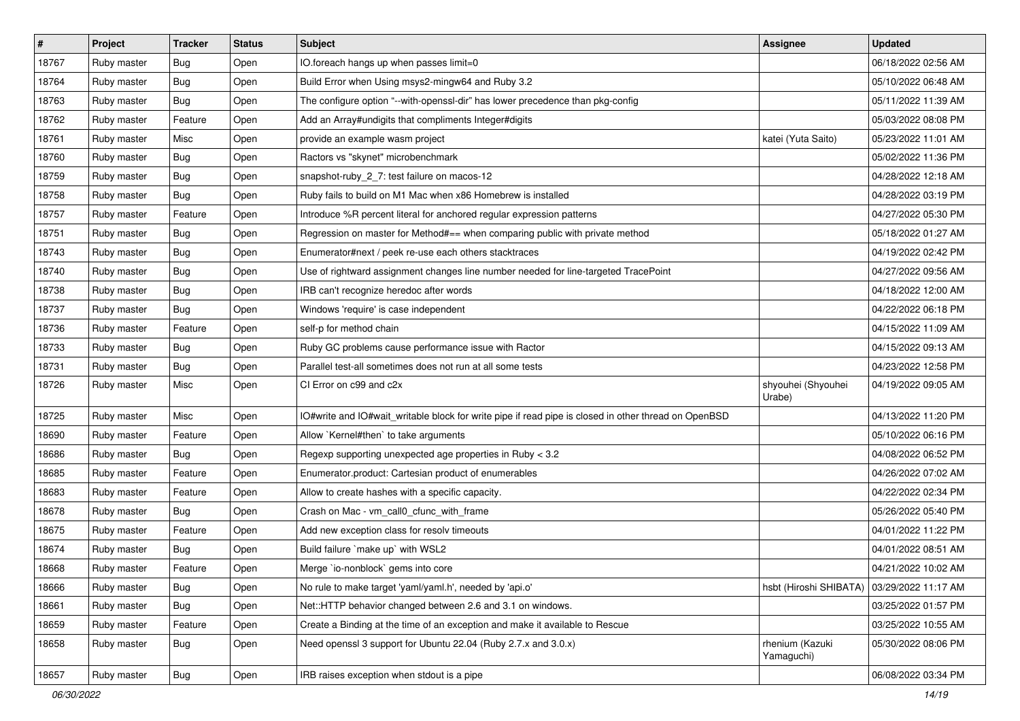| #     | Project     | <b>Tracker</b> | <b>Status</b> | <b>Subject</b>                                                                                       | <b>Assignee</b>               | <b>Updated</b>      |
|-------|-------------|----------------|---------------|------------------------------------------------------------------------------------------------------|-------------------------------|---------------------|
| 18767 | Ruby master | <b>Bug</b>     | Open          | IO.foreach hangs up when passes limit=0                                                              |                               | 06/18/2022 02:56 AM |
| 18764 | Ruby master | <b>Bug</b>     | Open          | Build Error when Using msys2-mingw64 and Ruby 3.2                                                    |                               | 05/10/2022 06:48 AM |
| 18763 | Ruby master | <b>Bug</b>     | Open          | The configure option "--with-openssl-dir" has lower precedence than pkg-config                       |                               | 05/11/2022 11:39 AM |
| 18762 | Ruby master | Feature        | Open          | Add an Array#undigits that compliments Integer#digits                                                |                               | 05/03/2022 08:08 PM |
| 18761 | Ruby master | Misc           | Open          | provide an example wasm project                                                                      | katei (Yuta Saito)            | 05/23/2022 11:01 AM |
| 18760 | Ruby master | <b>Bug</b>     | Open          | Ractors vs "skynet" microbenchmark                                                                   |                               | 05/02/2022 11:36 PM |
| 18759 | Ruby master | <b>Bug</b>     | Open          | snapshot-ruby_2_7: test failure on macos-12                                                          |                               | 04/28/2022 12:18 AM |
| 18758 | Ruby master | <b>Bug</b>     | Open          | Ruby fails to build on M1 Mac when x86 Homebrew is installed                                         |                               | 04/28/2022 03:19 PM |
| 18757 | Ruby master | Feature        | Open          | Introduce %R percent literal for anchored regular expression patterns                                |                               | 04/27/2022 05:30 PM |
| 18751 | Ruby master | <b>Bug</b>     | Open          | Regression on master for Method#== when comparing public with private method                         |                               | 05/18/2022 01:27 AM |
| 18743 | Ruby master | <b>Bug</b>     | Open          | Enumerator#next / peek re-use each others stacktraces                                                |                               | 04/19/2022 02:42 PM |
| 18740 | Ruby master | <b>Bug</b>     | Open          | Use of rightward assignment changes line number needed for line-targeted TracePoint                  |                               | 04/27/2022 09:56 AM |
| 18738 | Ruby master | <b>Bug</b>     | Open          | IRB can't recognize heredoc after words                                                              |                               | 04/18/2022 12:00 AM |
| 18737 | Ruby master | <b>Bug</b>     | Open          | Windows 'require' is case independent                                                                |                               | 04/22/2022 06:18 PM |
| 18736 | Ruby master | Feature        | Open          | self-p for method chain                                                                              |                               | 04/15/2022 11:09 AM |
| 18733 | Ruby master | <b>Bug</b>     | Open          | Ruby GC problems cause performance issue with Ractor                                                 |                               | 04/15/2022 09:13 AM |
| 18731 | Ruby master | <b>Bug</b>     | Open          | Parallel test-all sometimes does not run at all some tests                                           |                               | 04/23/2022 12:58 PM |
| 18726 | Ruby master | Misc           | Open          | CI Error on c99 and c2x                                                                              | shyouhei (Shyouhei<br>Urabe)  | 04/19/2022 09:05 AM |
| 18725 | Ruby master | Misc           | Open          | IO#write and IO#wait_writable block for write pipe if read pipe is closed in other thread on OpenBSD |                               | 04/13/2022 11:20 PM |
| 18690 | Ruby master | Feature        | Open          | Allow `Kernel#then` to take arguments                                                                |                               | 05/10/2022 06:16 PM |
| 18686 | Ruby master | <b>Bug</b>     | Open          | Regexp supporting unexpected age properties in Ruby < 3.2                                            |                               | 04/08/2022 06:52 PM |
| 18685 | Ruby master | Feature        | Open          | Enumerator.product: Cartesian product of enumerables                                                 |                               | 04/26/2022 07:02 AM |
| 18683 | Ruby master | Feature        | Open          | Allow to create hashes with a specific capacity.                                                     |                               | 04/22/2022 02:34 PM |
| 18678 | Ruby master | <b>Bug</b>     | Open          | Crash on Mac - vm_call0_cfunc_with_frame                                                             |                               | 05/26/2022 05:40 PM |
| 18675 | Ruby master | Feature        | Open          | Add new exception class for resolv timeouts                                                          |                               | 04/01/2022 11:22 PM |
| 18674 | Ruby master | Bug            | Open          | Build failure `make up` with WSL2                                                                    |                               | 04/01/2022 08:51 AM |
| 18668 | Ruby master | Feature        | Open          | Merge `io-nonblock` gems into core                                                                   |                               | 04/21/2022 10:02 AM |
| 18666 | Ruby master | Bug            | Open          | No rule to make target 'yaml/yaml.h', needed by 'api.o'                                              | hsbt (Hiroshi SHIBATA)        | 03/29/2022 11:17 AM |
| 18661 | Ruby master | <b>Bug</b>     | Open          | Net::HTTP behavior changed between 2.6 and 3.1 on windows.                                           |                               | 03/25/2022 01:57 PM |
| 18659 | Ruby master | Feature        | Open          | Create a Binding at the time of an exception and make it available to Rescue                         |                               | 03/25/2022 10:55 AM |
| 18658 | Ruby master | <b>Bug</b>     | Open          | Need openssl 3 support for Ubuntu 22.04 (Ruby 2.7.x and 3.0.x)                                       | rhenium (Kazuki<br>Yamaguchi) | 05/30/2022 08:06 PM |
| 18657 | Ruby master | <b>Bug</b>     | Open          | IRB raises exception when stdout is a pipe                                                           |                               | 06/08/2022 03:34 PM |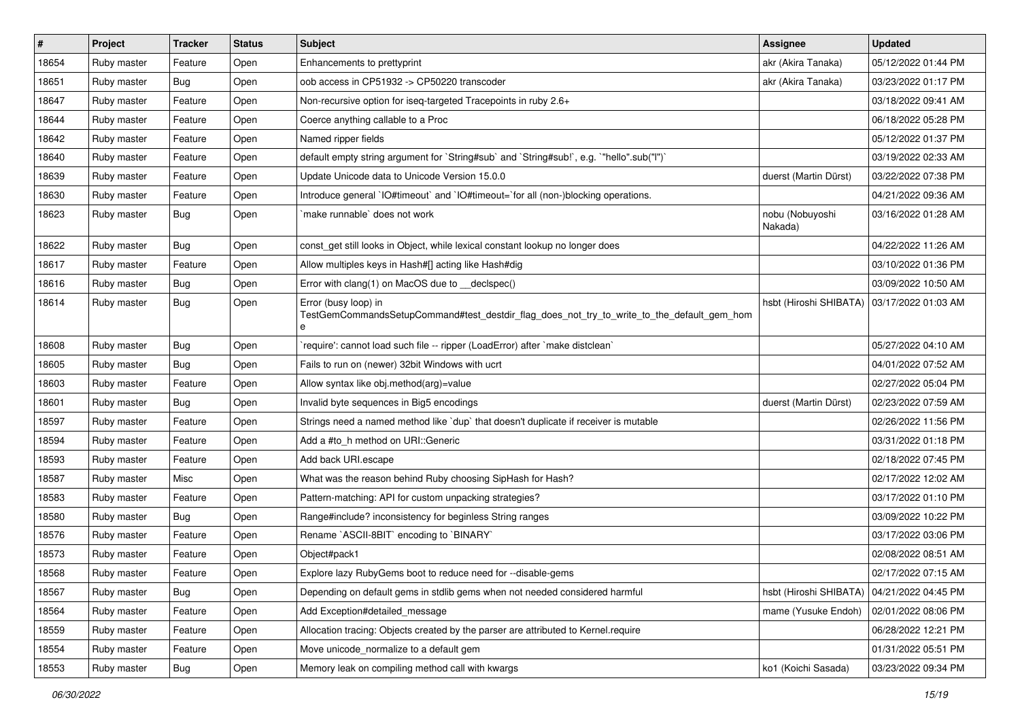| #     | Project     | <b>Tracker</b> | <b>Status</b> | <b>Subject</b>                                                                                                          | Assignee                   | <b>Updated</b>      |
|-------|-------------|----------------|---------------|-------------------------------------------------------------------------------------------------------------------------|----------------------------|---------------------|
| 18654 | Ruby master | Feature        | Open          | Enhancements to prettyprint                                                                                             | akr (Akira Tanaka)         | 05/12/2022 01:44 PM |
| 18651 | Ruby master | Bug            | Open          | oob access in CP51932 -> CP50220 transcoder                                                                             | akr (Akira Tanaka)         | 03/23/2022 01:17 PM |
| 18647 | Ruby master | Feature        | Open          | Non-recursive option for iseq-targeted Tracepoints in ruby 2.6+                                                         |                            | 03/18/2022 09:41 AM |
| 18644 | Ruby master | Feature        | Open          | Coerce anything callable to a Proc                                                                                      |                            | 06/18/2022 05:28 PM |
| 18642 | Ruby master | Feature        | Open          | Named ripper fields                                                                                                     |                            | 05/12/2022 01:37 PM |
| 18640 | Ruby master | Feature        | Open          | default empty string argument for `String#sub` and `String#sub!`, e.g. `"hello".sub("I")`                               |                            | 03/19/2022 02:33 AM |
| 18639 | Ruby master | Feature        | Open          | Update Unicode data to Unicode Version 15.0.0                                                                           | duerst (Martin Dürst)      | 03/22/2022 07:38 PM |
| 18630 | Ruby master | Feature        | Open          | Introduce general `IO#timeout` and `IO#timeout=`for all (non-)blocking operations.                                      |                            | 04/21/2022 09:36 AM |
| 18623 | Ruby master | <b>Bug</b>     | Open          | make runnable` does not work                                                                                            | nobu (Nobuyoshi<br>Nakada) | 03/16/2022 01:28 AM |
| 18622 | Ruby master | <b>Bug</b>     | Open          | const_get still looks in Object, while lexical constant lookup no longer does                                           |                            | 04/22/2022 11:26 AM |
| 18617 | Ruby master | Feature        | Open          | Allow multiples keys in Hash#[] acting like Hash#dig                                                                    |                            | 03/10/2022 01:36 PM |
| 18616 | Ruby master | <b>Bug</b>     | Open          | Error with clang(1) on MacOS due to __declspec()                                                                        |                            | 03/09/2022 10:50 AM |
| 18614 | Ruby master | <b>Bug</b>     | Open          | Error (busy loop) in<br>TestGemCommandsSetupCommand#test_destdir_flag_does_not_try_to_write_to_the_default_gem_hom<br>e | hsbt (Hiroshi SHIBATA)     | 03/17/2022 01:03 AM |
| 18608 | Ruby master | Bug            | Open          | require': cannot load such file -- ripper (LoadError) after `make distclean`                                            |                            | 05/27/2022 04:10 AM |
| 18605 | Ruby master | Bug            | Open          | Fails to run on (newer) 32bit Windows with ucrt                                                                         |                            | 04/01/2022 07:52 AM |
| 18603 | Ruby master | Feature        | Open          | Allow syntax like obj.method(arg)=value                                                                                 |                            | 02/27/2022 05:04 PM |
| 18601 | Ruby master | <b>Bug</b>     | Open          | Invalid byte sequences in Big5 encodings                                                                                | duerst (Martin Dürst)      | 02/23/2022 07:59 AM |
| 18597 | Ruby master | Feature        | Open          | Strings need a named method like 'dup' that doesn't duplicate if receiver is mutable                                    |                            | 02/26/2022 11:56 PM |
| 18594 | Ruby master | Feature        | Open          | Add a #to_h method on URI::Generic                                                                                      |                            | 03/31/2022 01:18 PM |
| 18593 | Ruby master | Feature        | Open          | Add back URI.escape                                                                                                     |                            | 02/18/2022 07:45 PM |
| 18587 | Ruby master | Misc           | Open          | What was the reason behind Ruby choosing SipHash for Hash?                                                              |                            | 02/17/2022 12:02 AM |
| 18583 | Ruby master | Feature        | Open          | Pattern-matching: API for custom unpacking strategies?                                                                  |                            | 03/17/2022 01:10 PM |
| 18580 | Ruby master | Bug            | Open          | Range#include? inconsistency for beginless String ranges                                                                |                            | 03/09/2022 10:22 PM |
| 18576 | Ruby master | Feature        | Open          | Rename `ASCII-8BIT` encoding to `BINARY`                                                                                |                            | 03/17/2022 03:06 PM |
| 18573 | Ruby master | Feature        | Open          | Object#pack1                                                                                                            |                            | 02/08/2022 08:51 AM |
| 18568 | Ruby master | Feature        | Open          | Explore lazy RubyGems boot to reduce need for --disable-gems                                                            |                            | 02/17/2022 07:15 AM |
| 18567 | Ruby master | <b>Bug</b>     | Open          | Depending on default gems in stdlib gems when not needed considered harmful                                             | hsbt (Hiroshi SHIBATA)     | 04/21/2022 04:45 PM |
| 18564 | Ruby master | Feature        | Open          | Add Exception#detailed_message                                                                                          | mame (Yusuke Endoh)        | 02/01/2022 08:06 PM |
| 18559 | Ruby master | Feature        | Open          | Allocation tracing: Objects created by the parser are attributed to Kernel.require                                      |                            | 06/28/2022 12:21 PM |
| 18554 | Ruby master | Feature        | Open          | Move unicode_normalize to a default gem                                                                                 |                            | 01/31/2022 05:51 PM |
| 18553 | Ruby master | Bug            | Open          | Memory leak on compiling method call with kwargs                                                                        | ko1 (Koichi Sasada)        | 03/23/2022 09:34 PM |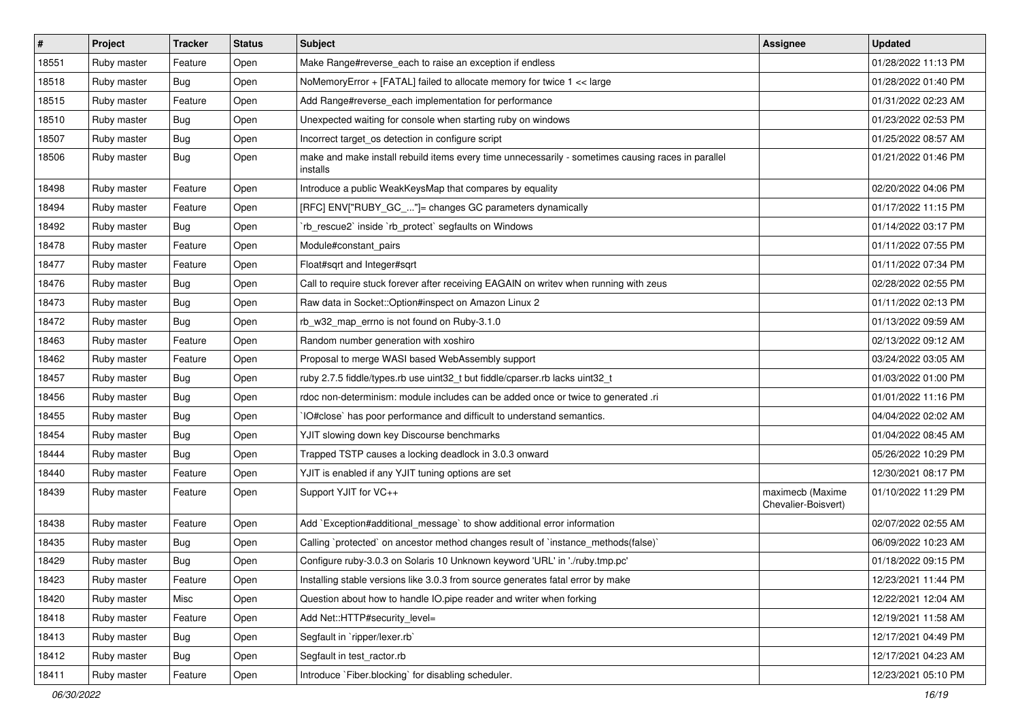| $\vert$ # | Project     | <b>Tracker</b> | <b>Status</b> | Subject                                                                                                        | <b>Assignee</b>                         | <b>Updated</b>      |
|-----------|-------------|----------------|---------------|----------------------------------------------------------------------------------------------------------------|-----------------------------------------|---------------------|
| 18551     | Ruby master | Feature        | Open          | Make Range#reverse_each to raise an exception if endless                                                       |                                         | 01/28/2022 11:13 PM |
| 18518     | Ruby master | Bug            | Open          | NoMemoryError + [FATAL] failed to allocate memory for twice 1 << large                                         |                                         | 01/28/2022 01:40 PM |
| 18515     | Ruby master | Feature        | Open          | Add Range#reverse_each implementation for performance                                                          |                                         | 01/31/2022 02:23 AM |
| 18510     | Ruby master | <b>Bug</b>     | Open          | Unexpected waiting for console when starting ruby on windows                                                   |                                         | 01/23/2022 02:53 PM |
| 18507     | Ruby master | <b>Bug</b>     | Open          | Incorrect target_os detection in configure script                                                              |                                         | 01/25/2022 08:57 AM |
| 18506     | Ruby master | Bug            | Open          | make and make install rebuild items every time unnecessarily - sometimes causing races in parallel<br>installs |                                         | 01/21/2022 01:46 PM |
| 18498     | Ruby master | Feature        | Open          | Introduce a public WeakKeysMap that compares by equality                                                       |                                         | 02/20/2022 04:06 PM |
| 18494     | Ruby master | Feature        | Open          | [RFC] ENV["RUBY_GC_"]= changes GC parameters dynamically                                                       |                                         | 01/17/2022 11:15 PM |
| 18492     | Ruby master | Bug            | Open          | 'rb_rescue2' inside 'rb_protect' segfaults on Windows                                                          |                                         | 01/14/2022 03:17 PM |
| 18478     | Ruby master | Feature        | Open          | Module#constant pairs                                                                                          |                                         | 01/11/2022 07:55 PM |
| 18477     | Ruby master | Feature        | Open          | Float#sqrt and Integer#sqrt                                                                                    |                                         | 01/11/2022 07:34 PM |
| 18476     | Ruby master | Bug            | Open          | Call to require stuck forever after receiving EAGAIN on writev when running with zeus                          |                                         | 02/28/2022 02:55 PM |
| 18473     | Ruby master | <b>Bug</b>     | Open          | Raw data in Socket::Option#inspect on Amazon Linux 2                                                           |                                         | 01/11/2022 02:13 PM |
| 18472     | Ruby master | Bug            | Open          | rb_w32_map_errno is not found on Ruby-3.1.0                                                                    |                                         | 01/13/2022 09:59 AM |
| 18463     | Ruby master | Feature        | Open          | Random number generation with xoshiro                                                                          |                                         | 02/13/2022 09:12 AM |
| 18462     | Ruby master | Feature        | Open          | Proposal to merge WASI based WebAssembly support                                                               |                                         | 03/24/2022 03:05 AM |
| 18457     | Ruby master | Bug            | Open          | ruby 2.7.5 fiddle/types.rb use uint32_t but fiddle/cparser.rb lacks uint32_t                                   |                                         | 01/03/2022 01:00 PM |
| 18456     | Ruby master | <b>Bug</b>     | Open          | rdoc non-determinism: module includes can be added once or twice to generated .ri                              |                                         | 01/01/2022 11:16 PM |
| 18455     | Ruby master | <b>Bug</b>     | Open          | IO#close` has poor performance and difficult to understand semantics.                                          |                                         | 04/04/2022 02:02 AM |
| 18454     | Ruby master | Bug            | Open          | YJIT slowing down key Discourse benchmarks                                                                     |                                         | 01/04/2022 08:45 AM |
| 18444     | Ruby master | Bug            | Open          | Trapped TSTP causes a locking deadlock in 3.0.3 onward                                                         |                                         | 05/26/2022 10:29 PM |
| 18440     | Ruby master | Feature        | Open          | YJIT is enabled if any YJIT tuning options are set                                                             |                                         | 12/30/2021 08:17 PM |
| 18439     | Ruby master | Feature        | Open          | Support YJIT for VC++                                                                                          | maximecb (Maxime<br>Chevalier-Boisvert) | 01/10/2022 11:29 PM |
| 18438     | Ruby master | Feature        | Open          | Add `Exception#additional_message` to show additional error information                                        |                                         | 02/07/2022 02:55 AM |
| 18435     | Ruby master | <b>Bug</b>     | Open          | Calling `protected` on ancestor method changes result of `instance_methods(false)`                             |                                         | 06/09/2022 10:23 AM |
| 18429     | Ruby master | <b>Bug</b>     | Open          | Configure ruby-3.0.3 on Solaris 10 Unknown keyword 'URL' in './ruby.tmp.pc'                                    |                                         | 01/18/2022 09:15 PM |
| 18423     | Ruby master | Feature        | Open          | Installing stable versions like 3.0.3 from source generates fatal error by make                                |                                         | 12/23/2021 11:44 PM |
| 18420     | Ruby master | Misc           | Open          | Question about how to handle IO.pipe reader and writer when forking                                            |                                         | 12/22/2021 12:04 AM |
| 18418     | Ruby master | Feature        | Open          | Add Net::HTTP#security_level=                                                                                  |                                         | 12/19/2021 11:58 AM |
| 18413     | Ruby master | <b>Bug</b>     | Open          | Segfault in 'ripper/lexer.rb'                                                                                  |                                         | 12/17/2021 04:49 PM |
| 18412     | Ruby master | <b>Bug</b>     | Open          | Segfault in test ractor.rb                                                                                     |                                         | 12/17/2021 04:23 AM |
| 18411     | Ruby master | Feature        | Open          | Introduce `Fiber.blocking` for disabling scheduler.                                                            |                                         | 12/23/2021 05:10 PM |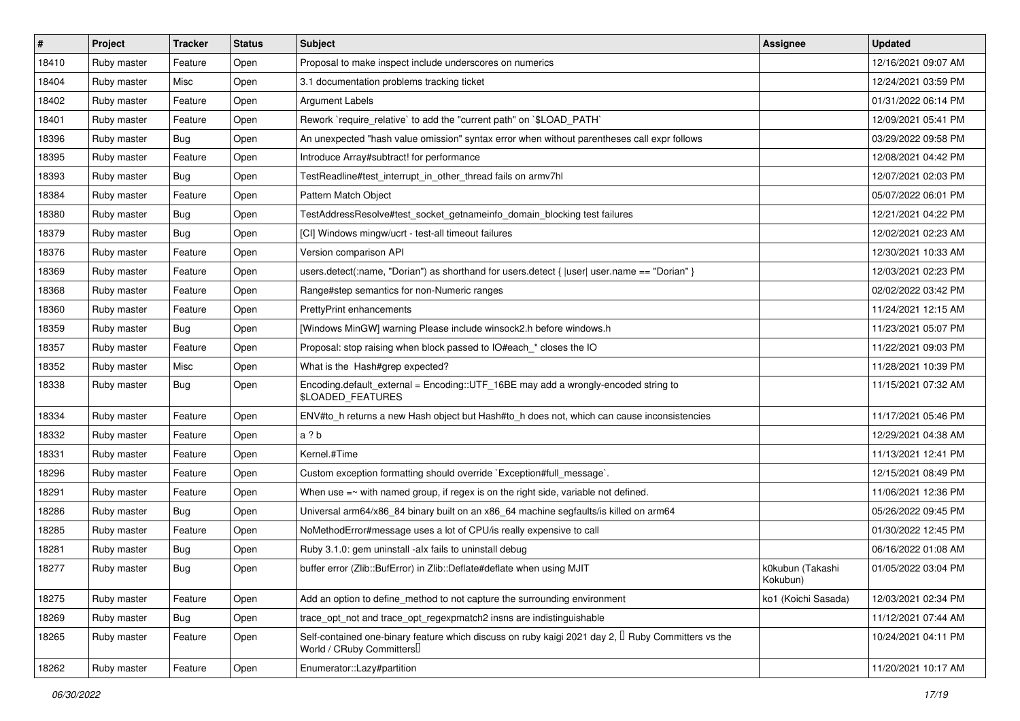| #     | Project     | <b>Tracker</b> | <b>Status</b> | <b>Subject</b>                                                                                                                             | Assignee                     | <b>Updated</b>      |
|-------|-------------|----------------|---------------|--------------------------------------------------------------------------------------------------------------------------------------------|------------------------------|---------------------|
| 18410 | Ruby master | Feature        | Open          | Proposal to make inspect include underscores on numerics                                                                                   |                              | 12/16/2021 09:07 AM |
| 18404 | Ruby master | Misc           | Open          | 3.1 documentation problems tracking ticket                                                                                                 |                              | 12/24/2021 03:59 PM |
| 18402 | Ruby master | Feature        | Open          | <b>Argument Labels</b>                                                                                                                     |                              | 01/31/2022 06:14 PM |
| 18401 | Ruby master | Feature        | Open          | Rework `require relative` to add the "current path" on `\$LOAD PATH`                                                                       |                              | 12/09/2021 05:41 PM |
| 18396 | Ruby master | Bug            | Open          | An unexpected "hash value omission" syntax error when without parentheses call expr follows                                                |                              | 03/29/2022 09:58 PM |
| 18395 | Ruby master | Feature        | Open          | Introduce Array#subtract! for performance                                                                                                  |                              | 12/08/2021 04:42 PM |
| 18393 | Ruby master | <b>Bug</b>     | Open          | TestReadline#test_interrupt_in_other_thread fails on armv7hl                                                                               |                              | 12/07/2021 02:03 PM |
| 18384 | Ruby master | Feature        | Open          | Pattern Match Object                                                                                                                       |                              | 05/07/2022 06:01 PM |
| 18380 | Ruby master | <b>Bug</b>     | Open          | TestAddressResolve#test_socket_getnameinfo_domain_blocking test failures                                                                   |                              | 12/21/2021 04:22 PM |
| 18379 | Ruby master | Bug            | Open          | [CI] Windows mingw/ucrt - test-all timeout failures                                                                                        |                              | 12/02/2021 02:23 AM |
| 18376 | Ruby master | Feature        | Open          | Version comparison API                                                                                                                     |                              | 12/30/2021 10:33 AM |
| 18369 | Ruby master | Feature        | Open          | users.detect(:name, "Dorian") as shorthand for users.detect { $ user $ user.name == "Dorian" }                                             |                              | 12/03/2021 02:23 PM |
| 18368 | Ruby master | Feature        | Open          | Range#step semantics for non-Numeric ranges                                                                                                |                              | 02/02/2022 03:42 PM |
| 18360 | Ruby master | Feature        | Open          | PrettyPrint enhancements                                                                                                                   |                              | 11/24/2021 12:15 AM |
| 18359 | Ruby master | Bug            | Open          | [Windows MinGW] warning Please include winsock2.h before windows.h                                                                         |                              | 11/23/2021 05:07 PM |
| 18357 | Ruby master | Feature        | Open          | Proposal: stop raising when block passed to IO#each_* closes the IO                                                                        |                              | 11/22/2021 09:03 PM |
| 18352 | Ruby master | Misc           | Open          | What is the Hash#grep expected?                                                                                                            |                              | 11/28/2021 10:39 PM |
| 18338 | Ruby master | Bug            | Open          | Encoding.default_external = Encoding::UTF_16BE may add a wrongly-encoded string to<br>\$LOADED_FEATURES                                    |                              | 11/15/2021 07:32 AM |
| 18334 | Ruby master | Feature        | Open          | ENV#to_h returns a new Hash object but Hash#to_h does not, which can cause inconsistencies                                                 |                              | 11/17/2021 05:46 PM |
| 18332 | Ruby master | Feature        | Open          | a ? b                                                                                                                                      |                              | 12/29/2021 04:38 AM |
| 18331 | Ruby master | Feature        | Open          | Kernel.#Time                                                                                                                               |                              | 11/13/2021 12:41 PM |
| 18296 | Ruby master | Feature        | Open          | Custom exception formatting should override `Exception#full_message`.                                                                      |                              | 12/15/2021 08:49 PM |
| 18291 | Ruby master | Feature        | Open          | When use $=$ with named group, if regex is on the right side, variable not defined.                                                        |                              | 11/06/2021 12:36 PM |
| 18286 | Ruby master | <b>Bug</b>     | Open          | Universal arm64/x86_84 binary built on an x86_64 machine segfaults/is killed on arm64                                                      |                              | 05/26/2022 09:45 PM |
| 18285 | Ruby master | Feature        | Open          | NoMethodError#message uses a lot of CPU/is really expensive to call                                                                        |                              | 01/30/2022 12:45 PM |
| 18281 | Ruby master | <b>Bug</b>     | Open          | Ruby 3.1.0: gem uninstall -alx fails to uninstall debug                                                                                    |                              | 06/16/2022 01:08 AM |
| 18277 | Ruby master | Bug            | Open          | buffer error (Zlib::BufError) in Zlib::Deflate#deflate when using MJIT                                                                     | k0kubun (Takashi<br>Kokubun) | 01/05/2022 03:04 PM |
| 18275 | Ruby master | Feature        | Open          | Add an option to define method to not capture the surrounding environment                                                                  | ko1 (Koichi Sasada)          | 12/03/2021 02:34 PM |
| 18269 | Ruby master | <b>Bug</b>     | Open          | trace_opt_not and trace_opt_regexpmatch2 insns are indistinguishable                                                                       |                              | 11/12/2021 07:44 AM |
| 18265 | Ruby master | Feature        | Open          | Self-contained one-binary feature which discuss on ruby kaigi 2021 day 2, <sup>[]</sup> Ruby Committers vs the<br>World / CRuby Committers |                              | 10/24/2021 04:11 PM |
| 18262 | Ruby master | Feature        | Open          | Enumerator::Lazy#partition                                                                                                                 |                              | 11/20/2021 10:17 AM |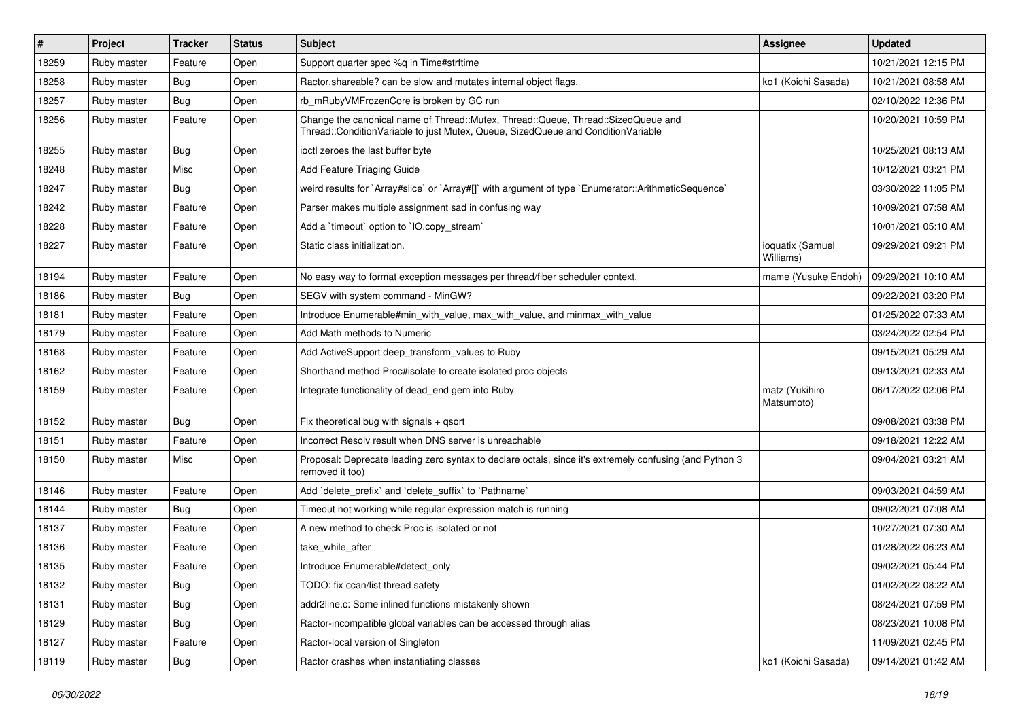| $\vert$ # | Project     | <b>Tracker</b> | <b>Status</b> | <b>Subject</b>                                                                                                                                                        | Assignee                      | <b>Updated</b>      |
|-----------|-------------|----------------|---------------|-----------------------------------------------------------------------------------------------------------------------------------------------------------------------|-------------------------------|---------------------|
| 18259     | Ruby master | Feature        | Open          | Support quarter spec %q in Time#strftime                                                                                                                              |                               | 10/21/2021 12:15 PM |
| 18258     | Ruby master | <b>Bug</b>     | Open          | Ractor shareable? can be slow and mutates internal object flags.                                                                                                      | ko1 (Koichi Sasada)           | 10/21/2021 08:58 AM |
| 18257     | Ruby master | Bug            | Open          | rb_mRubyVMFrozenCore is broken by GC run                                                                                                                              |                               | 02/10/2022 12:36 PM |
| 18256     | Ruby master | Feature        | Open          | Change the canonical name of Thread::Mutex, Thread::Queue, Thread::SizedQueue and<br>Thread::ConditionVariable to just Mutex, Queue, SizedQueue and ConditionVariable |                               | 10/20/2021 10:59 PM |
| 18255     | Ruby master | Bug            | Open          | ioctl zeroes the last buffer byte                                                                                                                                     |                               | 10/25/2021 08:13 AM |
| 18248     | Ruby master | Misc           | Open          | Add Feature Triaging Guide                                                                                                                                            |                               | 10/12/2021 03:21 PM |
| 18247     | Ruby master | Bug            | Open          | weird results for `Array#slice` or `Array#[]` with argument of type `Enumerator::ArithmeticSequence`                                                                  |                               | 03/30/2022 11:05 PM |
| 18242     | Ruby master | Feature        | Open          | Parser makes multiple assignment sad in confusing way                                                                                                                 |                               | 10/09/2021 07:58 AM |
| 18228     | Ruby master | Feature        | Open          | Add a 'timeout' option to 'IO.copy_stream'                                                                                                                            |                               | 10/01/2021 05:10 AM |
| 18227     | Ruby master | Feature        | Open          | Static class initialization.                                                                                                                                          | ioquatix (Samuel<br>Williams) | 09/29/2021 09:21 PM |
| 18194     | Ruby master | Feature        | Open          | No easy way to format exception messages per thread/fiber scheduler context.                                                                                          | mame (Yusuke Endoh)           | 09/29/2021 10:10 AM |
| 18186     | Ruby master | Bug            | Open          | SEGV with system command - MinGW?                                                                                                                                     |                               | 09/22/2021 03:20 PM |
| 18181     | Ruby master | Feature        | Open          | Introduce Enumerable#min_with_value, max_with_value, and minmax_with_value                                                                                            |                               | 01/25/2022 07:33 AM |
| 18179     | Ruby master | Feature        | Open          | Add Math methods to Numeric                                                                                                                                           |                               | 03/24/2022 02:54 PM |
| 18168     | Ruby master | Feature        | Open          | Add ActiveSupport deep_transform_values to Ruby                                                                                                                       |                               | 09/15/2021 05:29 AM |
| 18162     | Ruby master | Feature        | Open          | Shorthand method Proc#isolate to create isolated proc objects                                                                                                         |                               | 09/13/2021 02:33 AM |
| 18159     | Ruby master | Feature        | Open          | Integrate functionality of dead_end gem into Ruby                                                                                                                     | matz (Yukihiro<br>Matsumoto)  | 06/17/2022 02:06 PM |
| 18152     | Ruby master | <b>Bug</b>     | Open          | Fix theoretical bug with signals $+$ qsort                                                                                                                            |                               | 09/08/2021 03:38 PM |
| 18151     | Ruby master | Feature        | Open          | Incorrect Resolv result when DNS server is unreachable                                                                                                                |                               | 09/18/2021 12:22 AM |
| 18150     | Ruby master | Misc           | Open          | Proposal: Deprecate leading zero syntax to declare octals, since it's extremely confusing (and Python 3<br>removed it too)                                            |                               | 09/04/2021 03:21 AM |
| 18146     | Ruby master | Feature        | Open          | Add 'delete_prefix' and 'delete_suffix' to 'Pathname'                                                                                                                 |                               | 09/03/2021 04:59 AM |
| 18144     | Ruby master | Bug            | Open          | Timeout not working while regular expression match is running                                                                                                         |                               | 09/02/2021 07:08 AM |
| 18137     | Ruby master | Feature        | Open          | A new method to check Proc is isolated or not                                                                                                                         |                               | 10/27/2021 07:30 AM |
| 18136     | Ruby master | Feature        | Open          | take while after                                                                                                                                                      |                               | 01/28/2022 06:23 AM |
| 18135     | Ruby master | Feature        | Open          | Introduce Enumerable#detect_only                                                                                                                                      |                               | 09/02/2021 05:44 PM |
| 18132     | Ruby master | Bug            | Open          | TODO: fix ccan/list thread safety                                                                                                                                     |                               | 01/02/2022 08:22 AM |
| 18131     | Ruby master | <b>Bug</b>     | Open          | addr2line.c: Some inlined functions mistakenly shown                                                                                                                  |                               | 08/24/2021 07:59 PM |
| 18129     | Ruby master | <b>Bug</b>     | Open          | Ractor-incompatible global variables can be accessed through alias                                                                                                    |                               | 08/23/2021 10:08 PM |
| 18127     | Ruby master | Feature        | Open          | Ractor-local version of Singleton                                                                                                                                     |                               | 11/09/2021 02:45 PM |
| 18119     | Ruby master | <b>Bug</b>     | Open          | Ractor crashes when instantiating classes                                                                                                                             | ko1 (Koichi Sasada)           | 09/14/2021 01:42 AM |